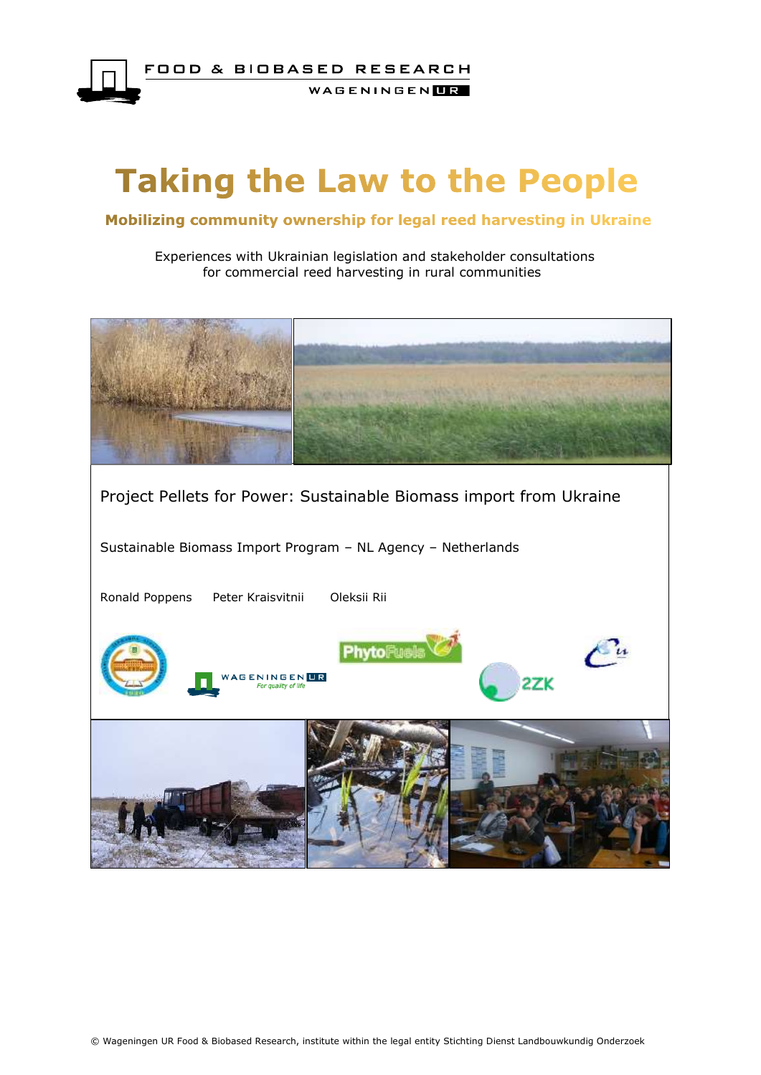

# **Taking the Law to the People**

### Mobilizing community ownership for legal reed harvesting in Ukraine

 Experiences with Ukrainian legislation and stakeholder consultations for commercial reed harvesting in rural communities

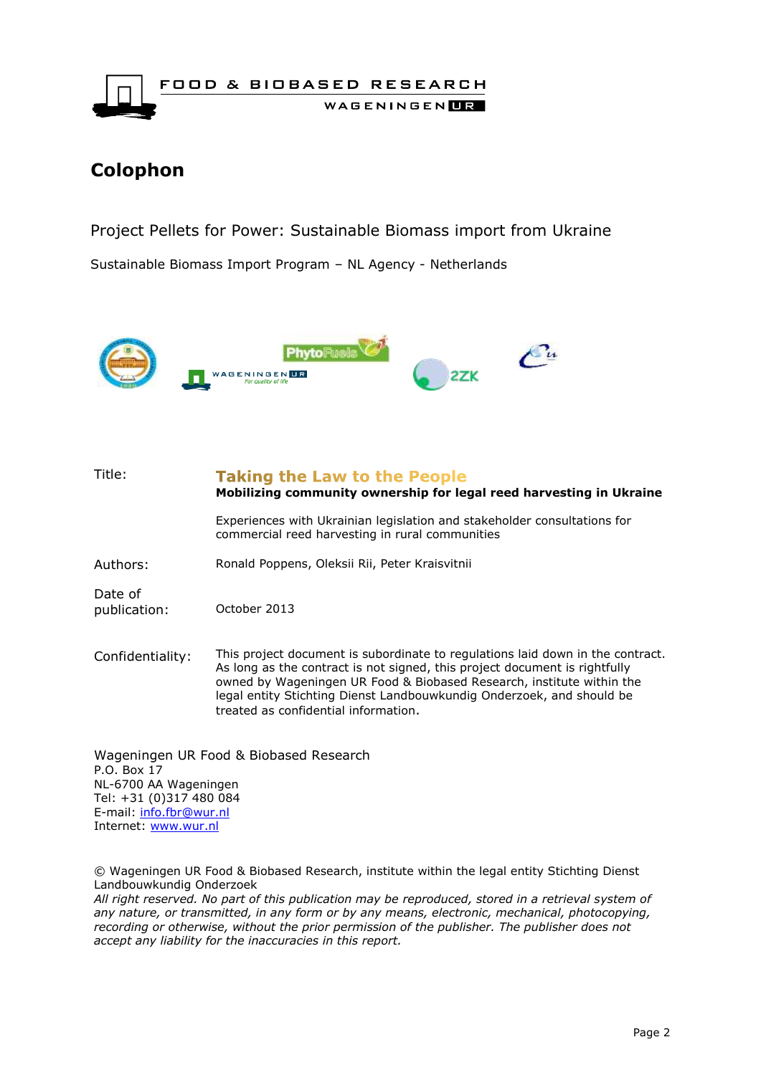

# **Colophon**

Project Pellets for Power: Sustainable Biomass import from Ukraine

Sustainable Biomass Import Program – NL Agency - Netherlands



| Title:                                 | <b>Taking the Law to the People</b><br>Mobilizing community ownership for legal reed harvesting in Ukraine                                                                                                                                                                                                                                             |  |  |  |  |  |
|----------------------------------------|--------------------------------------------------------------------------------------------------------------------------------------------------------------------------------------------------------------------------------------------------------------------------------------------------------------------------------------------------------|--|--|--|--|--|
|                                        | Experiences with Ukrainian legislation and stakeholder consultations for<br>commercial reed harvesting in rural communities                                                                                                                                                                                                                            |  |  |  |  |  |
| Authors:                               | Ronald Poppens, Oleksii Rii, Peter Kraisvitnii                                                                                                                                                                                                                                                                                                         |  |  |  |  |  |
| Date of<br>publication:                | October 2013                                                                                                                                                                                                                                                                                                                                           |  |  |  |  |  |
| Confidentiality:                       | This project document is subordinate to regulations laid down in the contract.<br>As long as the contract is not signed, this project document is rightfully<br>owned by Wageningen UR Food & Biobased Research, institute within the<br>legal entity Stichting Dienst Landbouwkundig Onderzoek, and should be<br>treated as confidential information. |  |  |  |  |  |
| Wageningen UR Food & Biobased Research |                                                                                                                                                                                                                                                                                                                                                        |  |  |  |  |  |

P.O. Box 17 NL-6700 AA Wageningen Tel: +31 (0)317 480 084 E-mail: [info.fbr@wur.nl](mailto:info.fbr@wur.nl) Internet: [www.wur.nl](http://www.wur.nl/)

© Wageningen UR Food & Biobased Research, institute within the legal entity Stichting Dienst Landbouwkundig Onderzoek

*All right reserved. No part of this publication may be reproduced, stored in a retrieval system of any nature, or transmitted, in any form or by any means, electronic, mechanical, photocopying, recording or otherwise, without the prior permission of the publisher. The publisher does not accept any liability for the inaccuracies in this report.*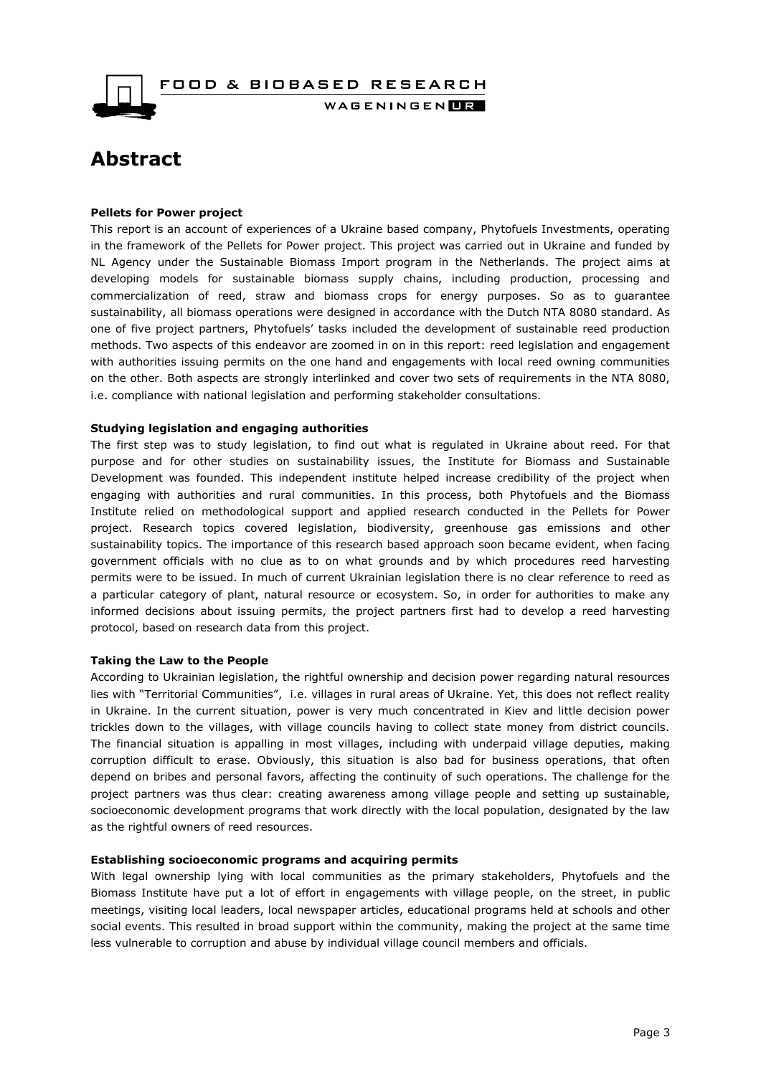FOOD & BIOBASED RESEARCH WAGENINGEN**LE** 

# <span id="page-2-0"></span>**Abstract**

#### **Pellets for Power project**

This report is an account of experiences of a Ukraine based company, Phytofuels Investments, operating in the framework of the Pellets for Power project. This project was carried out in Ukraine and funded by NL Agency under the Sustainable Biomass Import program in the Netherlands. The project aims at developing models for sustainable biomass supply chains, including production, processing and commercialization of reed, straw and biomass crops for energy purposes. So as to guarantee sustainability, all biomass operations were designed in accordance with the Dutch NTA 8080 standard. As one of five project partners, Phytofuels' tasks included the development of sustainable reed production methods. Two aspects of this endeavor are zoomed in on in this report: reed legislation and engagement with authorities issuing permits on the one hand and engagements with local reed owning communities on the other. Both aspects are strongly interlinked and cover two sets of requirements in the NTA 8080, i.e. compliance with national legislation and performing stakeholder consultations.

#### **Studying legislation and engaging authorities**

The first step was to study legislation, to find out what is regulated in Ukraine about reed. For that purpose and for other studies on sustainability issues, the Institute for Biomass and Sustainable Development was founded. This independent institute helped increase credibility of the project when engaging with authorities and rural communities. In this process, both Phytofuels and the Biomass Institute relied on methodological support and applied research conducted in the Pellets for Power project. Research topics covered legislation, biodiversity, greenhouse gas emissions and other sustainability topics. The importance of this research based approach soon became evident, when facing government officials with no clue as to on what grounds and by which procedures reed harvesting permits were to be issued. In much of current Ukrainian legislation there is no clear reference to reed as a particular category of plant, natural resource or ecosystem. So, in order for authorities to make any informed decisions about issuing permits, the project partners first had to develop a reed harvesting protocol, based on research data from this project.

#### **Taking the Law to the People**

According to Ukrainian legislation, the rightful ownership and decision power regarding natural resources lies with "Territorial Communities", i.e. villages in rural areas of Ukraine. Yet, this does not reflect reality in Ukraine. In the current situation, power is very much concentrated in Kiev and little decision power trickles down to the villages, with village councils having to collect state money from district councils. The financial situation is appalling in most villages, including with underpaid village deputies, making corruption difficult to erase. Obviously, this situation is also bad for business operations, that often depend on bribes and personal favors, affecting the continuity of such operations. The challenge for the project partners was thus clear: creating awareness among village people and setting up sustainable, socioeconomic development programs that work directly with the local population, designated by the law as the rightful owners of reed resources.

#### **Establishing socioeconomic programs and acquiring permits**

With legal ownership lying with local communities as the primary stakeholders, Phytofuels and the Biomass Institute have put a lot of effort in engagements with village people, on the street, in public meetings, visiting local leaders, local newspaper articles, educational programs held at schools and other social events. This resulted in broad support within the community, making the project at the same time less vulnerable to corruption and abuse by individual village council members and officials.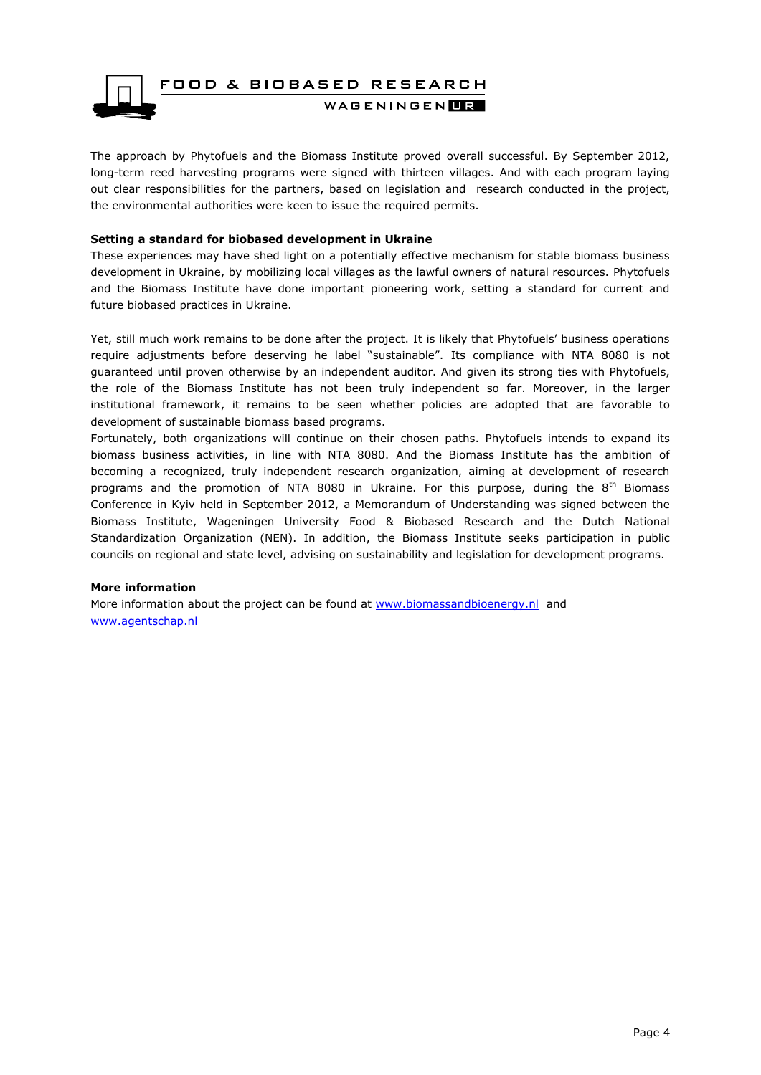

The approach by Phytofuels and the Biomass Institute proved overall successful. By September 2012, long-term reed harvesting programs were signed with thirteen villages. And with each program laying out clear responsibilities for the partners, based on legislation and research conducted in the project, the environmental authorities were keen to issue the required permits.

#### **Setting a standard for biobased development in Ukraine**

These experiences may have shed light on a potentially effective mechanism for stable biomass business development in Ukraine, by mobilizing local villages as the lawful owners of natural resources. Phytofuels and the Biomass Institute have done important pioneering work, setting a standard for current and future biobased practices in Ukraine.

Yet, still much work remains to be done after the project. It is likely that Phytofuels' business operations require adjustments before deserving he label "sustainable". Its compliance with NTA 8080 is not guaranteed until proven otherwise by an independent auditor. And given its strong ties with Phytofuels, the role of the Biomass Institute has not been truly independent so far. Moreover, in the larger institutional framework, it remains to be seen whether policies are adopted that are favorable to development of sustainable biomass based programs.

Fortunately, both organizations will continue on their chosen paths. Phytofuels intends to expand its biomass business activities, in line with NTA 8080. And the Biomass Institute has the ambition of becoming a recognized, truly independent research organization, aiming at development of research programs and the promotion of NTA 8080 in Ukraine. For this purpose, during the  $8<sup>th</sup>$  Biomass Conference in Kyiv held in September 2012, a Memorandum of Understanding was signed between the Biomass Institute, Wageningen University Food & Biobased Research and the Dutch National Standardization Organization (NEN). In addition, the Biomass Institute seeks participation in public councils on regional and state level, advising on sustainability and legislation for development programs.

#### **More information**

More information about the project can be found at [www.biomassandbioenergy.nl](http://www.biomassandbioenergy.nl/) and [www.agentschap.nl](http://www.agentschap.nl/)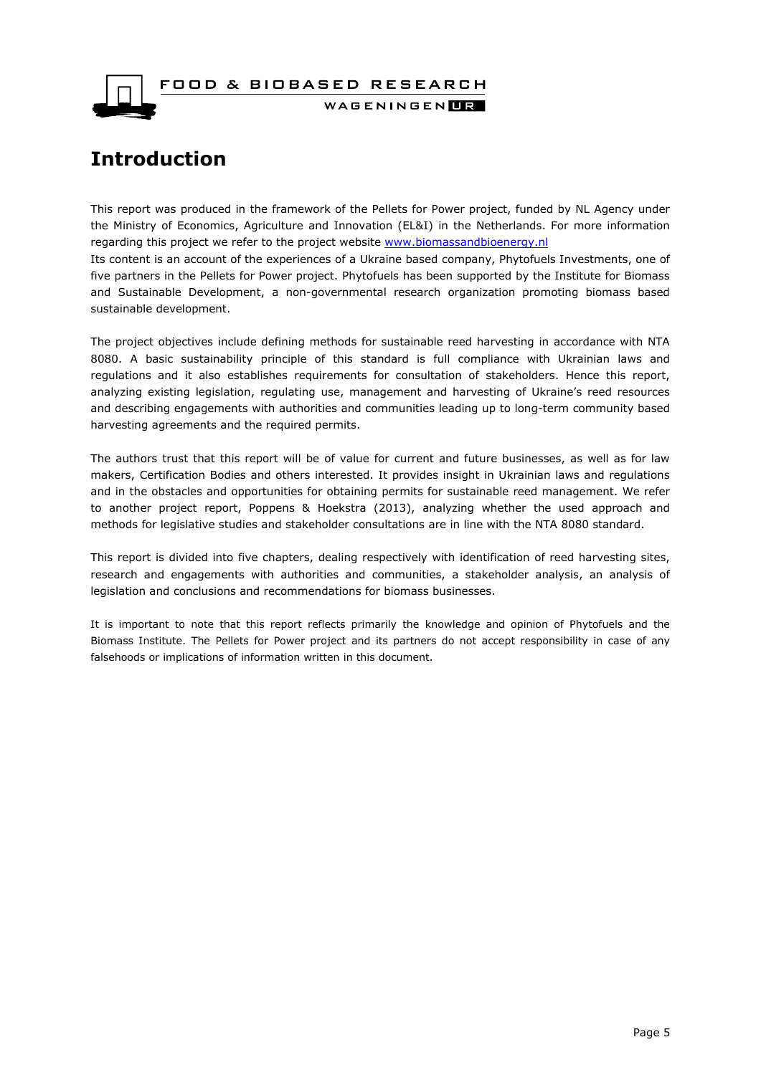FOOD & BIOBASED RESEARCH



WAGENINGENLIR

# <span id="page-4-0"></span>**Introduction**

This report was produced in the framework of the Pellets for Power project, funded by NL Agency under the Ministry of Economics, Agriculture and Innovation (EL&I) in the Netherlands. For more information regarding this project we refer to the project website [www.biomassandbioenergy.nl](http://www.biomassandbioenergy.nl/)

Its content is an account of the experiences of a Ukraine based company, Phytofuels Investments, one of five partners in the Pellets for Power project. Phytofuels has been supported by the Institute for Biomass and Sustainable Development, a non-governmental research organization promoting biomass based sustainable development.

The project objectives include defining methods for sustainable reed harvesting in accordance with NTA 8080. A basic sustainability principle of this standard is full compliance with Ukrainian laws and regulations and it also establishes requirements for consultation of stakeholders. Hence this report, analyzing existing legislation, regulating use, management and harvesting of Ukraine's reed resources and describing engagements with authorities and communities leading up to long-term community based harvesting agreements and the required permits.

The authors trust that this report will be of value for current and future businesses, as well as for law makers, Certification Bodies and others interested. It provides insight in Ukrainian laws and regulations and in the obstacles and opportunities for obtaining permits for sustainable reed management. We refer to another project report, Poppens & Hoekstra (2013), analyzing whether the used approach and methods for legislative studies and stakeholder consultations are in line with the NTA 8080 standard.

This report is divided into five chapters, dealing respectively with identification of reed harvesting sites, research and engagements with authorities and communities, a stakeholder analysis, an analysis of legislation and conclusions and recommendations for biomass businesses.

It is important to note that this report reflects primarily the knowledge and opinion of Phytofuels and the Biomass Institute. The Pellets for Power project and its partners do not accept responsibility in case of any falsehoods or implications of information written in this document.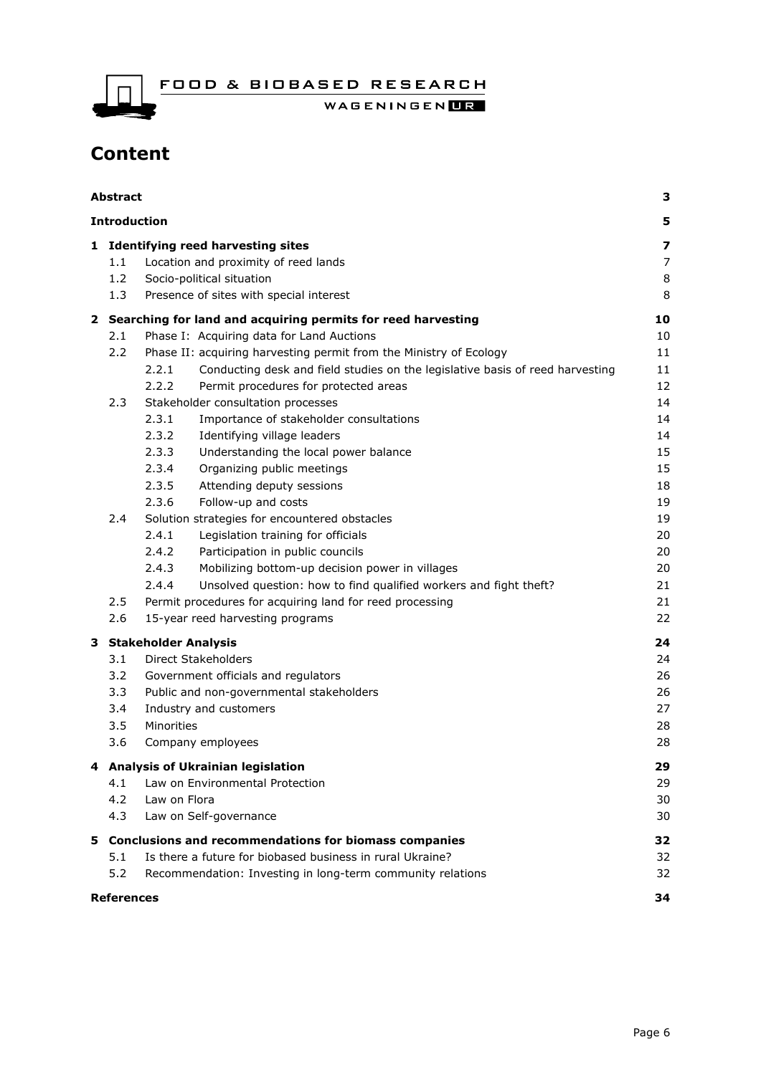FOOD & BIOBASED RESEARCH

WAGENINGENLIR

# **Content**

|              | <b>Abstract</b>         |                                                                                                                                                          |                        |  |  |
|--------------|-------------------------|----------------------------------------------------------------------------------------------------------------------------------------------------------|------------------------|--|--|
|              | <b>Introduction</b>     |                                                                                                                                                          | 5                      |  |  |
| 1            | 1.1<br>1.2<br>1.3       | <b>Identifying reed harvesting sites</b><br>Location and proximity of reed lands<br>Socio-political situation<br>Presence of sites with special interest | 7<br>7<br>$\,8\,$<br>8 |  |  |
| $\mathbf{2}$ |                         | Searching for land and acquiring permits for reed harvesting                                                                                             | 10                     |  |  |
|              | 2.1                     | Phase I: Acquiring data for Land Auctions                                                                                                                | 10                     |  |  |
|              | 2.2                     | Phase II: acquiring harvesting permit from the Ministry of Ecology                                                                                       | 11                     |  |  |
|              |                         | Conducting desk and field studies on the legislative basis of reed harvesting<br>2.2.1                                                                   | 11                     |  |  |
|              |                         | 2.2.2<br>Permit procedures for protected areas                                                                                                           | 12                     |  |  |
|              | 2.3                     | Stakeholder consultation processes                                                                                                                       | 14                     |  |  |
|              |                         | Importance of stakeholder consultations<br>2.3.1                                                                                                         | 14                     |  |  |
|              |                         | 2.3.2<br>Identifying village leaders                                                                                                                     | 14                     |  |  |
|              |                         | 2.3.3<br>Understanding the local power balance                                                                                                           | 15                     |  |  |
|              |                         | 2.3.4<br>Organizing public meetings                                                                                                                      | 15                     |  |  |
|              |                         | 2.3.5<br>Attending deputy sessions                                                                                                                       | 18                     |  |  |
|              |                         | 2.3.6<br>Follow-up and costs                                                                                                                             | 19                     |  |  |
|              | 2.4                     | Solution strategies for encountered obstacles<br>2.4.1                                                                                                   | 19                     |  |  |
|              |                         | Legislation training for officials<br>2.4.2<br>Participation in public councils                                                                          | 20<br>20               |  |  |
|              |                         | 2.4.3<br>Mobilizing bottom-up decision power in villages                                                                                                 | 20                     |  |  |
|              |                         | Unsolved question: how to find qualified workers and fight theft?<br>2.4.4                                                                               | 21                     |  |  |
|              | 2.5                     | Permit procedures for acquiring land for reed processing                                                                                                 | 21                     |  |  |
|              | 2.6                     | 15-year reed harvesting programs                                                                                                                         |                        |  |  |
| 3            |                         | <b>Stakeholder Analysis</b>                                                                                                                              | 24                     |  |  |
|              | 3.1                     | <b>Direct Stakeholders</b>                                                                                                                               | 24                     |  |  |
|              | 3.2                     | Government officials and regulators                                                                                                                      | 26                     |  |  |
|              | 3.3                     | Public and non-governmental stakeholders                                                                                                                 | 26                     |  |  |
|              | 3.4                     | Industry and customers                                                                                                                                   | 27                     |  |  |
|              | 3.5                     | Minorities                                                                                                                                               | 28                     |  |  |
|              | 3.6                     | Company employees                                                                                                                                        | 28                     |  |  |
|              |                         | <b>Analysis of Ukrainian legislation</b>                                                                                                                 | 29                     |  |  |
|              | 4.1                     | Law on Environmental Protection                                                                                                                          | 29                     |  |  |
|              | 4.2                     | Law on Flora                                                                                                                                             | 30                     |  |  |
|              | 4.3                     | Law on Self-governance                                                                                                                                   | 30                     |  |  |
| 5.           |                         | <b>Conclusions and recommendations for biomass companies</b>                                                                                             | 32                     |  |  |
|              | 5.1                     | Is there a future for biobased business in rural Ukraine?                                                                                                | 32                     |  |  |
|              | 5.2                     | Recommendation: Investing in long-term community relations                                                                                               | 32                     |  |  |
|              | <b>References</b><br>34 |                                                                                                                                                          |                        |  |  |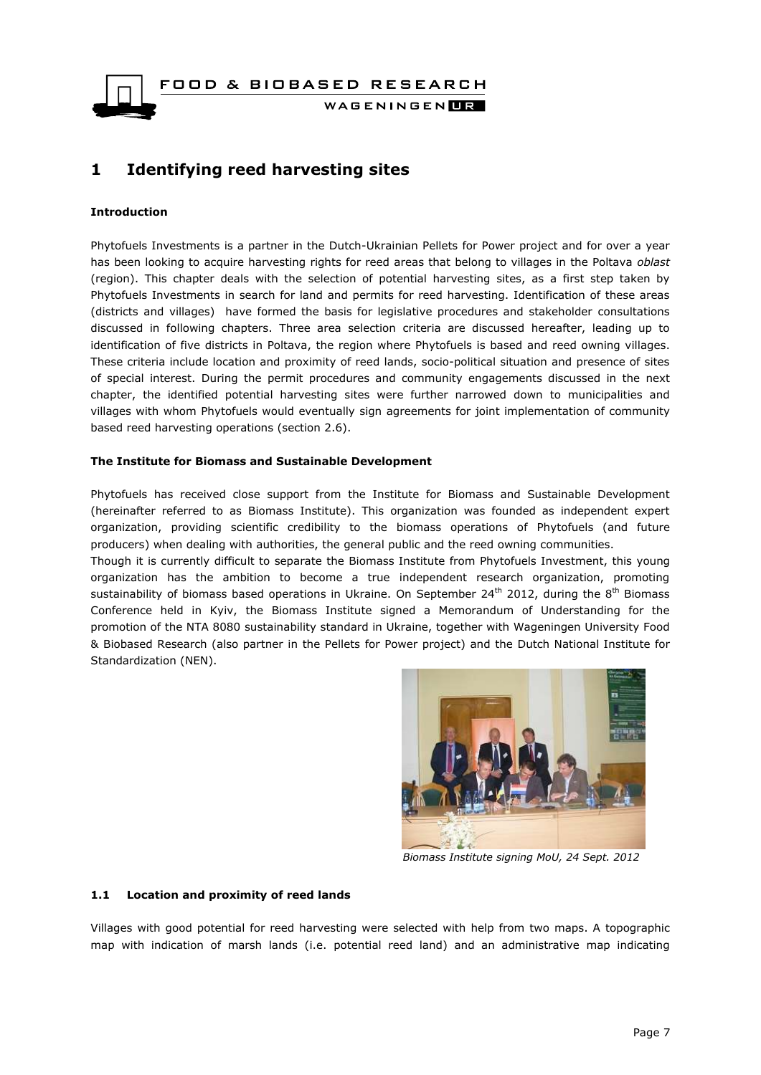FOOD & BIOBASED RESEARCH WAGENINGEN**LE** 

## <span id="page-6-0"></span>**1 Identifying reed harvesting sites**

#### **Introduction**

Phytofuels Investments is a partner in the Dutch-Ukrainian Pellets for Power project and for over a year has been looking to acquire harvesting rights for reed areas that belong to villages in the Poltava *oblast* (region). This chapter deals with the selection of potential harvesting sites, as a first step taken by Phytofuels Investments in search for land and permits for reed harvesting. Identification of these areas (districts and villages) have formed the basis for legislative procedures and stakeholder consultations discussed in following chapters. Three area selection criteria are discussed hereafter, leading up to identification of five districts in Poltava, the region where Phytofuels is based and reed owning villages. These criteria include location and proximity of reed lands, socio-political situation and presence of sites of special interest. During the permit procedures and community engagements discussed in the next chapter, the identified potential harvesting sites were further narrowed down to municipalities and villages with whom Phytofuels would eventually sign agreements for joint implementation of community based reed harvesting operations (section 2.6).

#### **The Institute for Biomass and Sustainable Development**

Phytofuels has received close support from the Institute for Biomass and Sustainable Development (hereinafter referred to as Biomass Institute). This organization was founded as independent expert organization, providing scientific credibility to the biomass operations of Phytofuels (and future producers) when dealing with authorities, the general public and the reed owning communities.

Though it is currently difficult to separate the Biomass Institute from Phytofuels Investment, this young organization has the ambition to become a true independent research organization, promoting sustainability of biomass based operations in Ukraine. On September 24<sup>th</sup> 2012, during the 8<sup>th</sup> Biomass Conference held in Kyiv, the Biomass Institute signed a Memorandum of Understanding for the promotion of the NTA 8080 sustainability standard in Ukraine, together with Wageningen University Food & Biobased Research (also partner in the Pellets for Power project) and the Dutch National Institute for Standardization (NEN).



*Biomass Institute signing MoU, 24 Sept. 2012*

#### <span id="page-6-1"></span>**1.1 Location and proximity of reed lands**

Villages with good potential for reed harvesting were selected with help from two maps. A topographic map with indication of marsh lands (i.e. potential reed land) and an administrative map indicating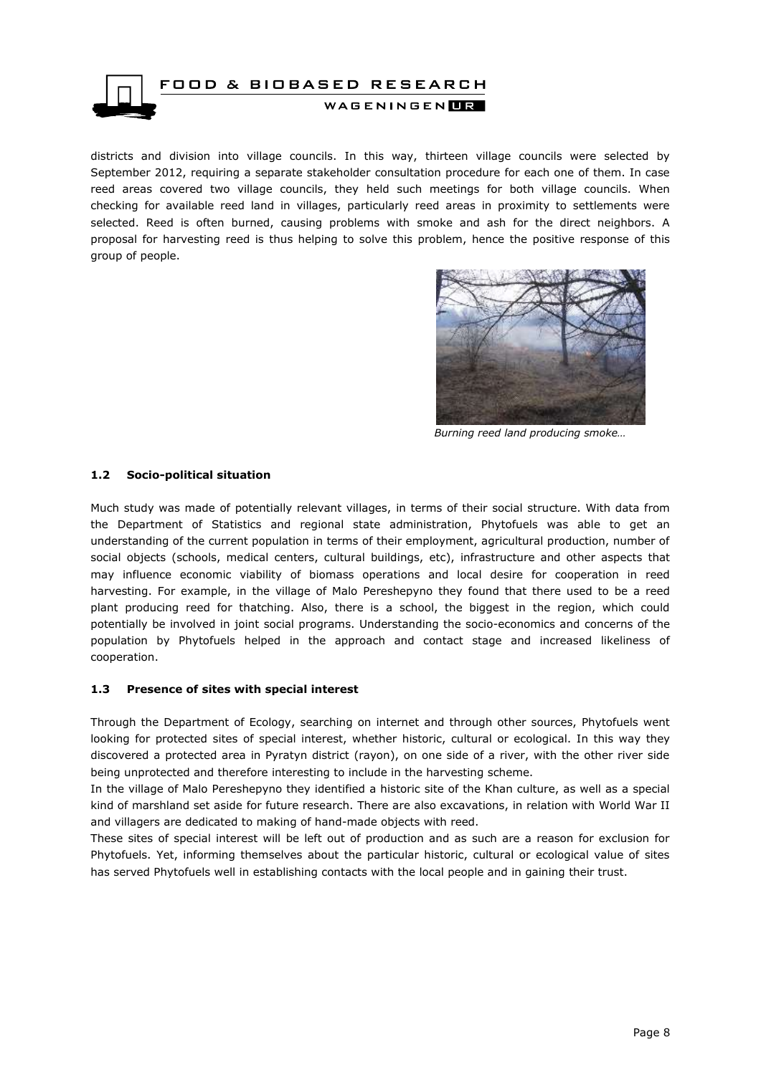

districts and division into village councils. In this way, thirteen village councils were selected by September 2012, requiring a separate stakeholder consultation procedure for each one of them. In case reed areas covered two village councils, they held such meetings for both village councils. When checking for available reed land in villages, particularly reed areas in proximity to settlements were selected. Reed is often burned, causing problems with smoke and ash for the direct neighbors. A proposal for harvesting reed is thus helping to solve this problem, hence the positive response of this group of people.



*Burning reed land producing smoke…*

#### <span id="page-7-0"></span>**1.2 Socio-political situation**

Much study was made of potentially relevant villages, in terms of their social structure. With data from the Department of Statistics and regional state administration, Phytofuels was able to get an understanding of the current population in terms of their employment, agricultural production, number of social objects (schools, medical centers, cultural buildings, etc), infrastructure and other aspects that may influence economic viability of biomass operations and local desire for cooperation in reed harvesting. For example, in the village of Malo Pereshepyno they found that there used to be a reed plant producing reed for thatching. Also, there is a school, the biggest in the region, which could potentially be involved in joint social programs. Understanding the socio-economics and concerns of the population by Phytofuels helped in the approach and contact stage and increased likeliness of cooperation.

#### <span id="page-7-1"></span>**1.3 Presence of sites with special interest**

Through the Department of Ecology, searching on internet and through other sources, Phytofuels went looking for protected sites of special interest, whether historic, cultural or ecological. In this way they discovered a protected area in Pyratyn district (rayon), on one side of a river, with the other river side being unprotected and therefore interesting to include in the harvesting scheme.

In the village of Malo Pereshepyno they identified a historic site of the Khan culture, as well as a special kind of marshland set aside for future research. There are also excavations, in relation with World War II and villagers are dedicated to making of hand-made objects with reed.

These sites of special interest will be left out of production and as such are a reason for exclusion for Phytofuels. Yet, informing themselves about the particular historic, cultural or ecological value of sites has served Phytofuels well in establishing contacts with the local people and in gaining their trust.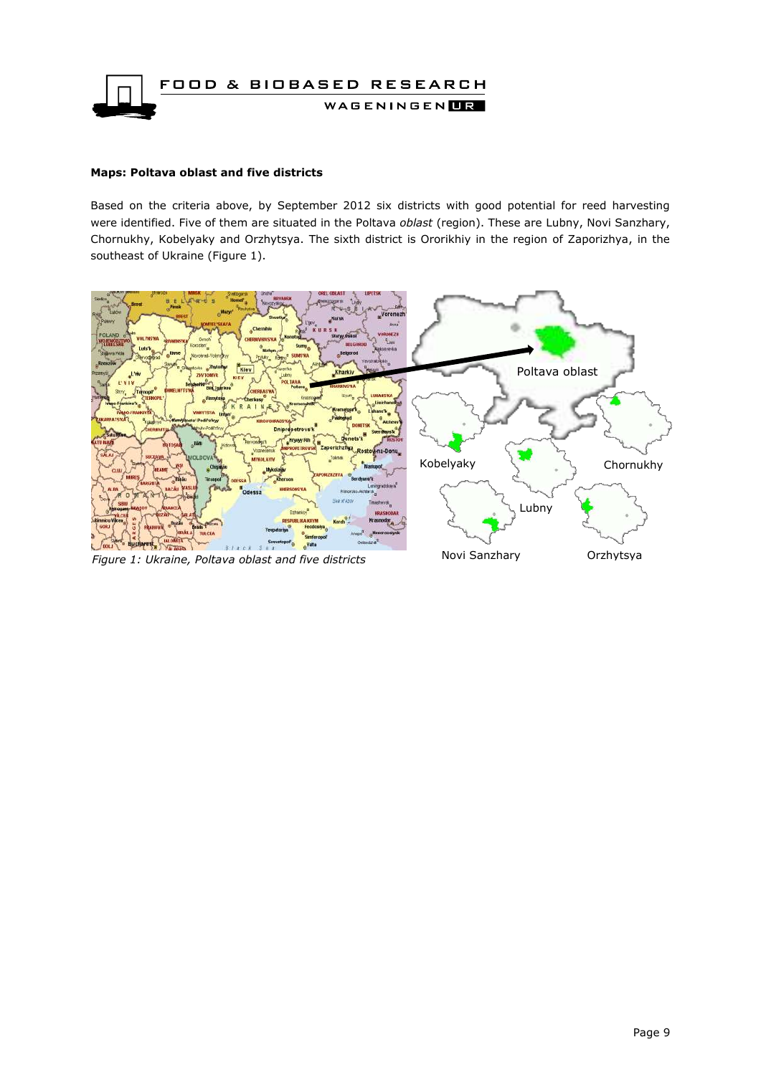

#### **Maps: Poltava oblast and five districts**

Based on the criteria above, by September 2012 six districts with good potential for reed harvesting were identified. Five of them are situated in the Poltava *oblast* (region). These are Lubny, Novi Sanzhary, Chornukhy, Kobelyaky and Orzhytsya. The sixth district is Ororikhiy in the region of Zaporizhya, in the southeast of Ukraine (Figure 1).

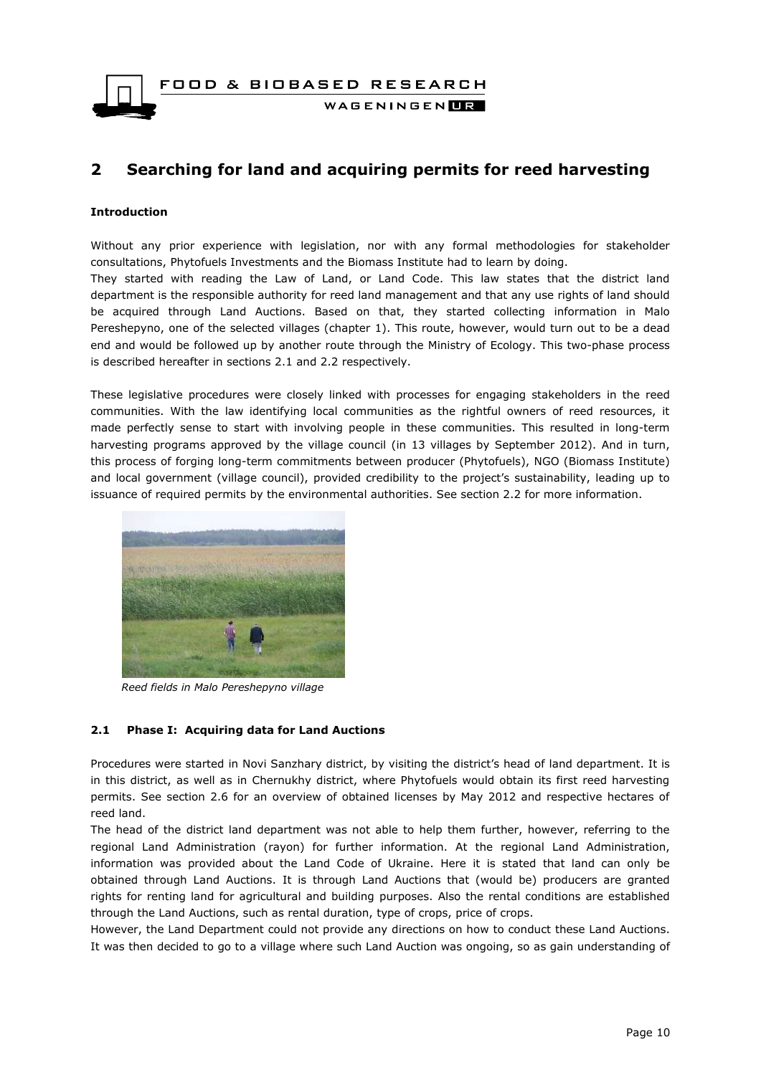

# <span id="page-9-0"></span>**2 Searching for land and acquiring permits for reed harvesting**

#### **Introduction**

Without any prior experience with legislation, nor with any formal methodologies for stakeholder consultations, Phytofuels Investments and the Biomass Institute had to learn by doing. They started with reading the Law of Land, or Land Code. This law states that the district land department is the responsible authority for reed land management and that any use rights of land should be acquired through Land Auctions. Based on that, they started collecting information in Malo Pereshepyno, one of the selected villages (chapter 1). This route, however, would turn out to be a dead end and would be followed up by another route through the Ministry of Ecology. This two-phase process is described hereafter in sections 2.1 and 2.2 respectively.

These legislative procedures were closely linked with processes for engaging stakeholders in the reed communities. With the law identifying local communities as the rightful owners of reed resources, it made perfectly sense to start with involving people in these communities. This resulted in long-term harvesting programs approved by the village council (in 13 villages by September 2012). And in turn, this process of forging long-term commitments between producer (Phytofuels), NGO (Biomass Institute) and local government (village council), provided credibility to the project's sustainability, leading up to issuance of required permits by the environmental authorities. See section 2.2 for more information.



*Reed fields in Malo Pereshepyno village*

#### <span id="page-9-1"></span>**2.1 Phase I: Acquiring data for Land Auctions**

Procedures were started in Novi Sanzhary district, by visiting the district's head of land department. It is in this district, as well as in Chernukhy district, where Phytofuels would obtain its first reed harvesting permits. See section 2.6 for an overview of obtained licenses by May 2012 and respective hectares of reed land.

The head of the district land department was not able to help them further, however, referring to the regional Land Administration (rayon) for further information. At the regional Land Administration, information was provided about the Land Code of Ukraine. Here it is stated that land can only be obtained through Land Auctions. It is through Land Auctions that (would be) producers are granted rights for renting land for agricultural and building purposes. Also the rental conditions are established through the Land Auctions, such as rental duration, type of crops, price of crops.

However, the Land Department could not provide any directions on how to conduct these Land Auctions. It was then decided to go to a village where such Land Auction was ongoing, so as gain understanding of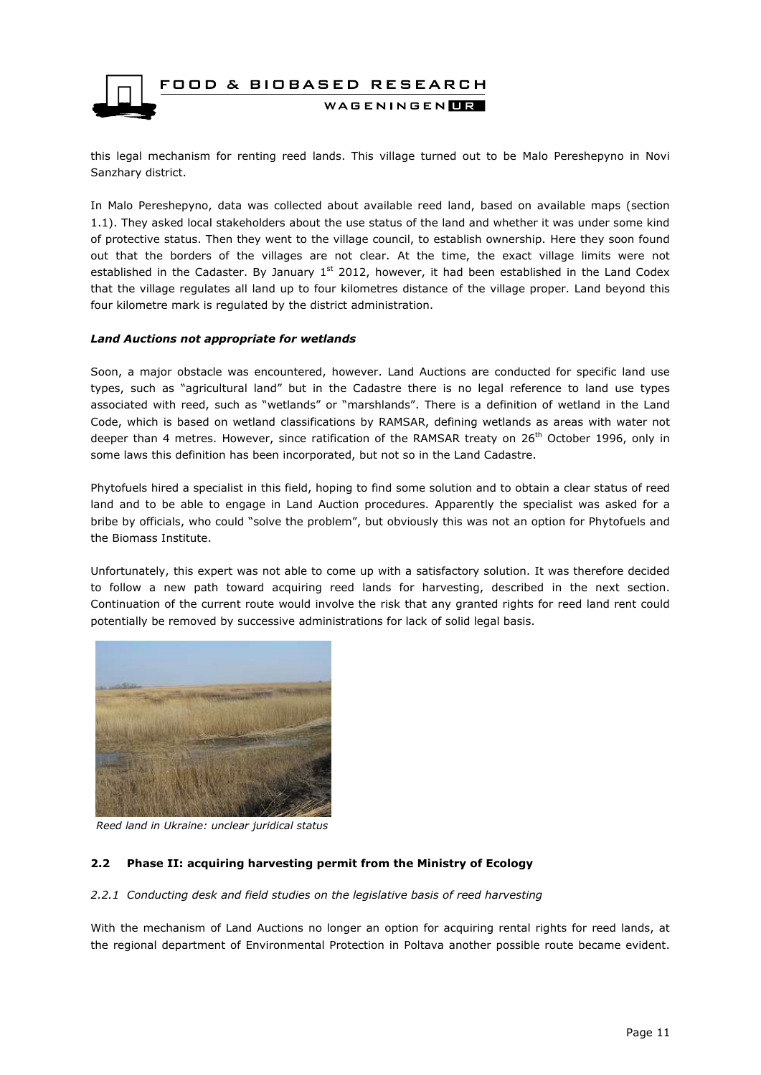

this legal mechanism for renting reed lands. This village turned out to be Malo Pereshepyno in Novi Sanzhary district.

In Malo Pereshepyno, data was collected about available reed land, based on available maps (section 1.1). They asked local stakeholders about the use status of the land and whether it was under some kind of protective status. Then they went to the village council, to establish ownership. Here they soon found out that the borders of the villages are not clear. At the time, the exact village limits were not established in the Cadaster. By January 1<sup>st</sup> 2012, however, it had been established in the Land Codex that the village regulates all land up to four kilometres distance of the village proper. Land beyond this four kilometre mark is regulated by the district administration.

#### *Land Auctions not appropriate for wetlands*

Soon, a major obstacle was encountered, however. Land Auctions are conducted for specific land use types, such as "agricultural land" but in the Cadastre there is no legal reference to land use types associated with reed, such as "wetlands" or "marshlands". There is a definition of wetland in the Land Code, which is based on wetland classifications by RAMSAR, defining wetlands as areas with water not deeper than 4 metres. However, since ratification of the RAMSAR treaty on 26<sup>th</sup> October 1996, only in some laws this definition has been incorporated, but not so in the Land Cadastre.

Phytofuels hired a specialist in this field, hoping to find some solution and to obtain a clear status of reed land and to be able to engage in Land Auction procedures. Apparently the specialist was asked for a bribe by officials, who could "solve the problem", but obviously this was not an option for Phytofuels and the Biomass Institute.

Unfortunately, this expert was not able to come up with a satisfactory solution. It was therefore decided to follow a new path toward acquiring reed lands for harvesting, described in the next section. Continuation of the current route would involve the risk that any granted rights for reed land rent could potentially be removed by successive administrations for lack of solid legal basis.



*Reed land in Ukraine: unclear juridical status*

#### <span id="page-10-1"></span><span id="page-10-0"></span>**2.2 Phase II: acquiring harvesting permit from the Ministry of Ecology**

#### *2.2.1 Conducting desk and field studies on the legislative basis of reed harvesting*

With the mechanism of Land Auctions no longer an option for acquiring rental rights for reed lands, at the regional department of Environmental Protection in Poltava another possible route became evident.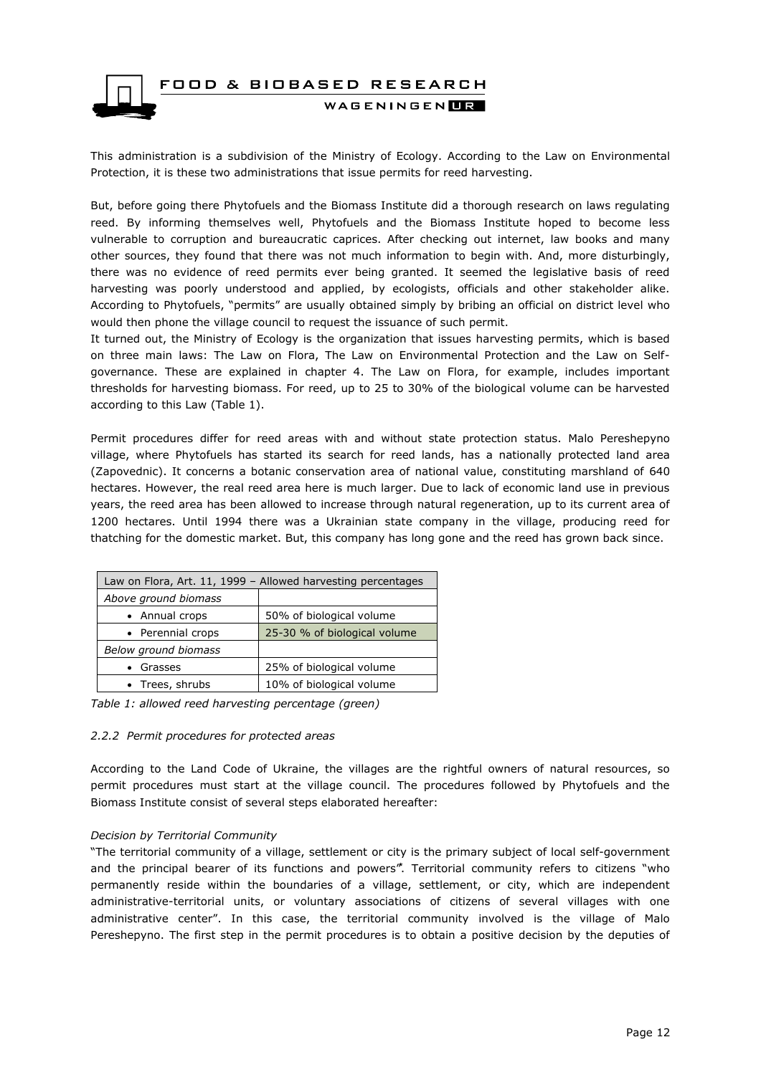

This administration is a subdivision of the Ministry of Ecology. According to the Law on Environmental Protection, it is these two administrations that issue permits for reed harvesting.

But, before going there Phytofuels and the Biomass Institute did a thorough research on laws regulating reed. By informing themselves well, Phytofuels and the Biomass Institute hoped to become less vulnerable to corruption and bureaucratic caprices. After checking out internet, law books and many other sources, they found that there was not much information to begin with. And, more disturbingly, there was no evidence of reed permits ever being granted. It seemed the legislative basis of reed harvesting was poorly understood and applied, by ecologists, officials and other stakeholder alike. According to Phytofuels, "permits" are usually obtained simply by bribing an official on district level who would then phone the village council to request the issuance of such permit.

It turned out, the Ministry of Ecology is the organization that issues harvesting permits, which is based on three main laws: The Law on Flora, The Law on Environmental Protection and the Law on Selfgovernance. These are explained in chapter 4. The Law on Flora, for example, includes important thresholds for harvesting biomass. For reed, up to 25 to 30% of the biological volume can be harvested according to this Law (Table 1).

Permit procedures differ for reed areas with and without state protection status. Malo Pereshepyno village, where Phytofuels has started its search for reed lands, has a nationally protected land area (Zapovednic). It concerns a botanic conservation area of national value, constituting marshland of 640 hectares. However, the real reed area here is much larger. Due to lack of economic land use in previous years, the reed area has been allowed to increase through natural regeneration, up to its current area of 1200 hectares. Until 1994 there was a Ukrainian state company in the village, producing reed for thatching for the domestic market. But, this company has long gone and the reed has grown back since.

| Law on Flora, Art. 11, 1999 - Allowed harvesting percentages |                              |  |  |  |  |
|--------------------------------------------------------------|------------------------------|--|--|--|--|
| Above ground biomass                                         |                              |  |  |  |  |
| • Annual crops                                               | 50% of biological volume     |  |  |  |  |
| • Perennial crops                                            | 25-30 % of biological volume |  |  |  |  |
| Below ground biomass                                         |                              |  |  |  |  |
| • Grasses                                                    | 25% of biological volume     |  |  |  |  |
| • Trees, shrubs                                              | 10% of biological volume     |  |  |  |  |

<span id="page-11-0"></span>*Table 1: allowed reed harvesting percentage (green)*

#### *2.2.2 Permit procedures for protected areas*

According to the Land Code of Ukraine, the villages are the rightful owners of natural resources, so permit procedures must start at the village council. The procedures followed by Phytofuels and the Biomass Institute consist of several steps elaborated hereafter:

#### *Decision by Territorial Community*

"The territorial community of a village, settlement or city is the primary subject of local self-government and the principal bearer of its functions and powers". Territorial community refers to citizens "who permanently reside within the boundaries of a village, settlement, or city, which are independent administrative-territorial units, or voluntary associations of citizens of several villages with one administrative center". In this case, the territorial community involved is the village of Malo Pereshepyno. The first step in the permit procedures is to obtain a positive decision by the deputies of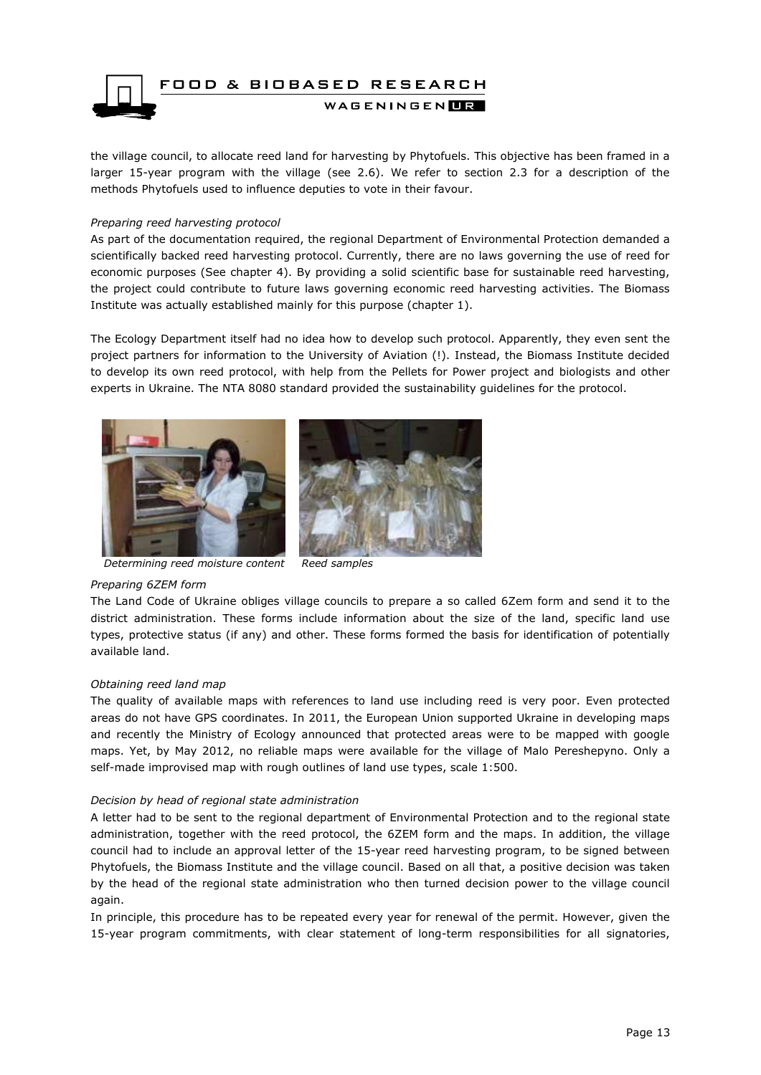

the village council, to allocate reed land for harvesting by Phytofuels. This objective has been framed in a larger 15-year program with the village (see 2.6). We refer to section 2.3 for a description of the methods Phytofuels used to influence deputies to vote in their favour.

#### *Preparing reed harvesting protocol*

As part of the documentation required, the regional Department of Environmental Protection demanded a scientifically backed reed harvesting protocol. Currently, there are no laws governing the use of reed for economic purposes (See chapter 4). By providing a solid scientific base for sustainable reed harvesting, the project could contribute to future laws governing economic reed harvesting activities. The Biomass Institute was actually established mainly for this purpose (chapter 1).

The Ecology Department itself had no idea how to develop such protocol. Apparently, they even sent the project partners for information to the University of Aviation (!). Instead, the Biomass Institute decided to develop its own reed protocol, with help from the Pellets for Power project and biologists and other experts in Ukraine. The NTA 8080 standard provided the sustainability guidelines for the protocol.



*Determining reed moisture content Reed samples*

#### *Preparing 6ZEM form*

The Land Code of Ukraine obliges village councils to prepare a so called 6Zem form and send it to the district administration. These forms include information about the size of the land, specific land use types, protective status (if any) and other. These forms formed the basis for identification of potentially available land.

#### *Obtaining reed land map*

The quality of available maps with references to land use including reed is very poor. Even protected areas do not have GPS coordinates. In 2011, the European Union supported Ukraine in developing maps and recently the Ministry of Ecology announced that protected areas were to be mapped with google maps. Yet, by May 2012, no reliable maps were available for the village of Malo Pereshepyno. Only a self-made improvised map with rough outlines of land use types, scale 1:500.

#### *Decision by head of regional state administration*

A letter had to be sent to the regional department of Environmental Protection and to the regional state administration, together with the reed protocol, the 6ZEM form and the maps. In addition, the village council had to include an approval letter of the 15-year reed harvesting program, to be signed between Phytofuels, the Biomass Institute and the village council. Based on all that, a positive decision was taken by the head of the regional state administration who then turned decision power to the village council again.

In principle, this procedure has to be repeated every year for renewal of the permit. However, given the 15-year program commitments, with clear statement of long-term responsibilities for all signatories,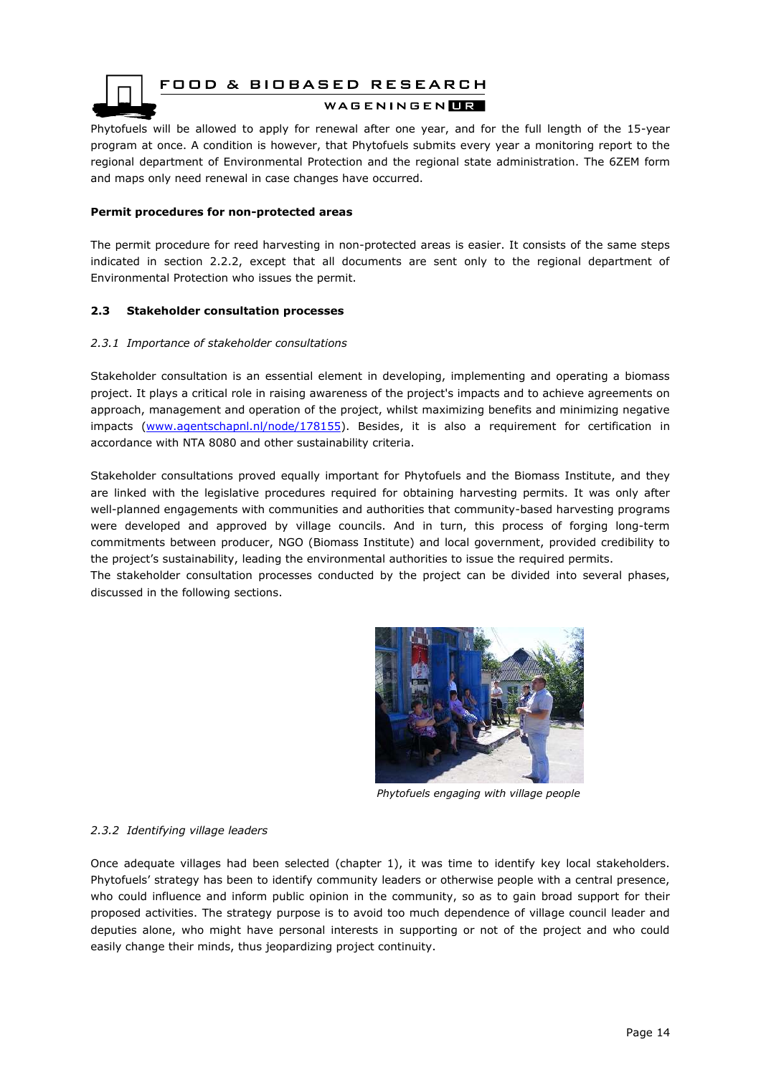

FOOD & BIOBASED RESEARCH

#### WAGENINGEN**UR**

Phytofuels will be allowed to apply for renewal after one year, and for the full length of the 15-year program at once. A condition is however, that Phytofuels submits every year a monitoring report to the regional department of Environmental Protection and the regional state administration. The 6ZEM form and maps only need renewal in case changes have occurred.

#### **Permit procedures for non-protected areas**

The permit procedure for reed harvesting in non-protected areas is easier. It consists of the same steps indicated in section 2.2.2, except that all documents are sent only to the regional department of Environmental Protection who issues the permit.

#### <span id="page-13-1"></span><span id="page-13-0"></span>**2.3 Stakeholder consultation processes**

#### *2.3.1 Importance of stakeholder consultations*

Stakeholder consultation is an essential element in developing, implementing and operating a biomass project. It plays a critical role in raising awareness of the project's impacts and to achieve agreements on approach, management and operation of the project, whilst maximizing benefits and minimizing negative impacts [\(www.agentschapnl.nl/node/178155\)](http://www.agentschapnl.nl/node/178155). Besides, it is also a requirement for certification in accordance with NTA 8080 and other sustainability criteria.

Stakeholder consultations proved equally important for Phytofuels and the Biomass Institute, and they are linked with the legislative procedures required for obtaining harvesting permits. It was only after well-planned engagements with communities and authorities that community-based harvesting programs were developed and approved by village councils. And in turn, this process of forging long-term commitments between producer, NGO (Biomass Institute) and local government, provided credibility to the project's sustainability, leading the environmental authorities to issue the required permits.

The stakeholder consultation processes conducted by the project can be divided into several phases, discussed in the following sections.



*Phytofuels engaging with village people*

#### <span id="page-13-2"></span>*2.3.2 Identifying village leaders*

Once adequate villages had been selected (chapter 1), it was time to identify key local stakeholders. Phytofuels' strategy has been to identify community leaders or otherwise people with a central presence, who could influence and inform public opinion in the community, so as to gain broad support for their proposed activities. The strategy purpose is to avoid too much dependence of village council leader and deputies alone, who might have personal interests in supporting or not of the project and who could easily change their minds, thus jeopardizing project continuity.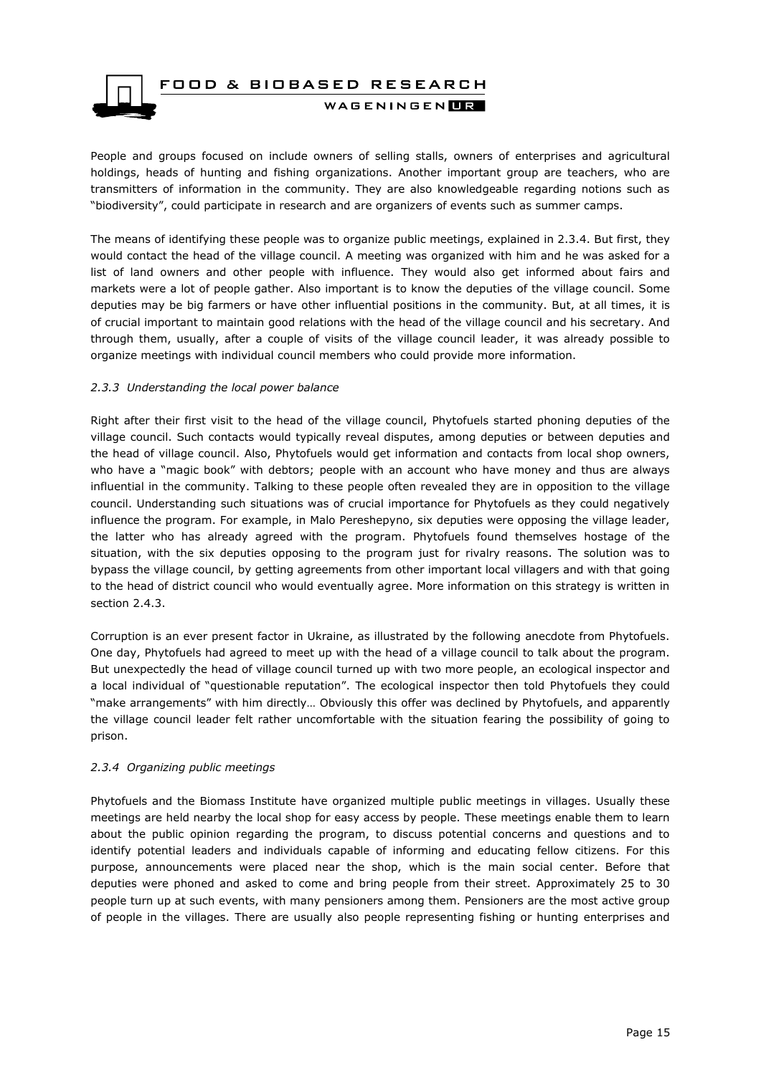

People and groups focused on include owners of selling stalls, owners of enterprises and agricultural holdings, heads of hunting and fishing organizations. Another important group are teachers, who are transmitters of information in the community. They are also knowledgeable regarding notions such as "biodiversity", could participate in research and are organizers of events such as summer camps.

The means of identifying these people was to organize public meetings, explained in 2.3.4. But first, they would contact the head of the village council. A meeting was organized with him and he was asked for a list of land owners and other people with influence. They would also get informed about fairs and markets were a lot of people gather. Also important is to know the deputies of the village council. Some deputies may be big farmers or have other influential positions in the community. But, at all times, it is of crucial important to maintain good relations with the head of the village council and his secretary. And through them, usually, after a couple of visits of the village council leader, it was already possible to organize meetings with individual council members who could provide more information.

#### <span id="page-14-0"></span>*2.3.3 Understanding the local power balance*

Right after their first visit to the head of the village council, Phytofuels started phoning deputies of the village council. Such contacts would typically reveal disputes, among deputies or between deputies and the head of village council. Also, Phytofuels would get information and contacts from local shop owners, who have a "magic book" with debtors; people with an account who have money and thus are always influential in the community. Talking to these people often revealed they are in opposition to the village council. Understanding such situations was of crucial importance for Phytofuels as they could negatively influence the program. For example, in Malo Pereshepyno, six deputies were opposing the village leader, the latter who has already agreed with the program. Phytofuels found themselves hostage of the situation, with the six deputies opposing to the program just for rivalry reasons. The solution was to bypass the village council, by getting agreements from other important local villagers and with that going to the head of district council who would eventually agree. More information on this strategy is written in section 2.4.3.

Corruption is an ever present factor in Ukraine, as illustrated by the following anecdote from Phytofuels. One day, Phytofuels had agreed to meet up with the head of a village council to talk about the program. But unexpectedly the head of village council turned up with two more people, an ecological inspector and a local individual of "questionable reputation". The ecological inspector then told Phytofuels they could "make arrangements" with him directly… Obviously this offer was declined by Phytofuels, and apparently the village council leader felt rather uncomfortable with the situation fearing the possibility of going to prison.

#### <span id="page-14-1"></span>*2.3.4 Organizing public meetings*

Phytofuels and the Biomass Institute have organized multiple public meetings in villages. Usually these meetings are held nearby the local shop for easy access by people. These meetings enable them to learn about the public opinion regarding the program, to discuss potential concerns and questions and to identify potential leaders and individuals capable of informing and educating fellow citizens. For this purpose, announcements were placed near the shop, which is the main social center. Before that deputies were phoned and asked to come and bring people from their street. Approximately 25 to 30 people turn up at such events, with many pensioners among them. Pensioners are the most active group of people in the villages. There are usually also people representing fishing or hunting enterprises and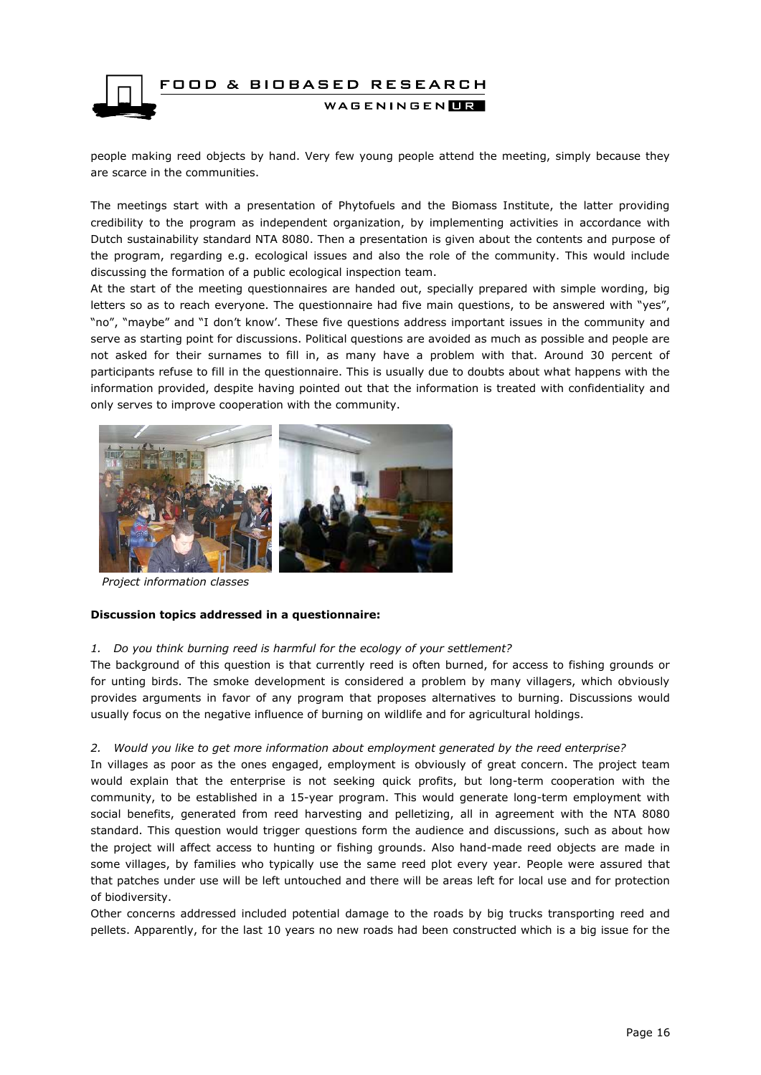

people making reed objects by hand. Very few young people attend the meeting, simply because they are scarce in the communities.

The meetings start with a presentation of Phytofuels and the Biomass Institute, the latter providing credibility to the program as independent organization, by implementing activities in accordance with Dutch sustainability standard NTA 8080. Then a presentation is given about the contents and purpose of the program, regarding e.g. ecological issues and also the role of the community. This would include discussing the formation of a public ecological inspection team.

At the start of the meeting questionnaires are handed out, specially prepared with simple wording, big letters so as to reach everyone. The questionnaire had five main questions, to be answered with "yes", "no", "maybe" and "I don't know'. These five questions address important issues in the community and serve as starting point for discussions. Political questions are avoided as much as possible and people are not asked for their surnames to fill in, as many have a problem with that. Around 30 percent of participants refuse to fill in the questionnaire. This is usually due to doubts about what happens with the information provided, despite having pointed out that the information is treated with confidentiality and only serves to improve cooperation with the community.



*Project information classes* 

#### **Discussion topics addressed in a questionnaire:**

#### *1. Do you think burning reed is harmful for the ecology of your settlement?*

The background of this question is that currently reed is often burned, for access to fishing grounds or for unting birds. The smoke development is considered a problem by many villagers, which obviously provides arguments in favor of any program that proposes alternatives to burning. Discussions would usually focus on the negative influence of burning on wildlife and for agricultural holdings.

#### *2. Would you like to get more information about employment generated by the reed enterprise?*

In villages as poor as the ones engaged, employment is obviously of great concern. The project team would explain that the enterprise is not seeking quick profits, but long-term cooperation with the community, to be established in a 15-year program. This would generate long-term employment with social benefits, generated from reed harvesting and pelletizing, all in agreement with the NTA 8080 standard. This question would trigger questions form the audience and discussions, such as about how the project will affect access to hunting or fishing grounds. Also hand-made reed objects are made in some villages, by families who typically use the same reed plot every year. People were assured that that patches under use will be left untouched and there will be areas left for local use and for protection of biodiversity.

Other concerns addressed included potential damage to the roads by big trucks transporting reed and pellets. Apparently, for the last 10 years no new roads had been constructed which is a big issue for the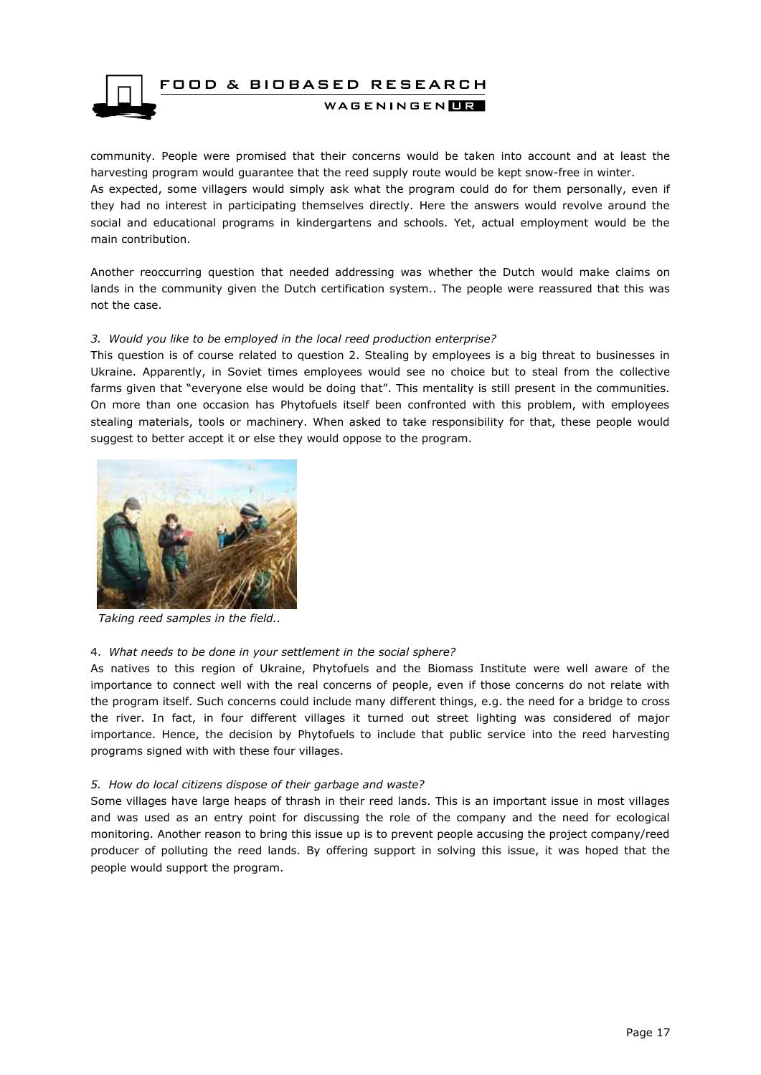

community. People were promised that their concerns would be taken into account and at least the harvesting program would guarantee that the reed supply route would be kept snow-free in winter. As expected, some villagers would simply ask what the program could do for them personally, even if they had no interest in participating themselves directly. Here the answers would revolve around the social and educational programs in kindergartens and schools. Yet, actual employment would be the main contribution.

Another reoccurring question that needed addressing was whether the Dutch would make claims on lands in the community given the Dutch certification system.. The people were reassured that this was not the case.

#### *3. Would you like to be employed in the local reed production enterprise?*

This question is of course related to question 2. Stealing by employees is a big threat to businesses in Ukraine. Apparently, in Soviet times employees would see no choice but to steal from the collective farms given that "everyone else would be doing that". This mentality is still present in the communities. On more than one occasion has Phytofuels itself been confronted with this problem, with employees stealing materials, tools or machinery. When asked to take responsibility for that, these people would suggest to better accept it or else they would oppose to the program.



 *Taking reed samples in the field..*

#### 4. *What needs to be done in your settlement in the social sphere?*

As natives to this region of Ukraine, Phytofuels and the Biomass Institute were well aware of the importance to connect well with the real concerns of people, even if those concerns do not relate with the program itself. Such concerns could include many different things, e.g. the need for a bridge to cross the river. In fact, in four different villages it turned out street lighting was considered of major importance. Hence, the decision by Phytofuels to include that public service into the reed harvesting programs signed with with these four villages.

#### *5. How do local citizens dispose of their garbage and waste?*

Some villages have large heaps of thrash in their reed lands. This is an important issue in most villages and was used as an entry point for discussing the role of the company and the need for ecological monitoring. Another reason to bring this issue up is to prevent people accusing the project company/reed producer of polluting the reed lands. By offering support in solving this issue, it was hoped that the people would support the program.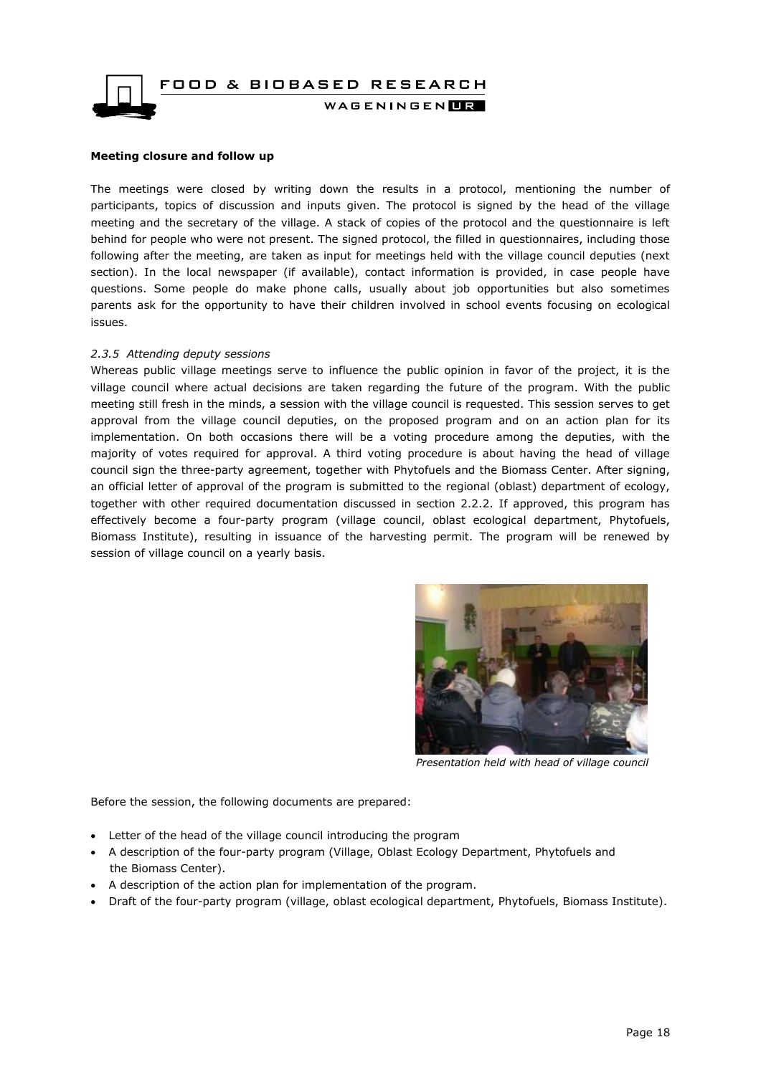

### **Meeting closure and follow up**

The meetings were closed by writing down the results in a protocol, mentioning the number of participants, topics of discussion and inputs given. The protocol is signed by the head of the village meeting and the secretary of the village. A stack of copies of the protocol and the questionnaire is left behind for people who were not present. The signed protocol, the filled in questionnaires, including those following after the meeting, are taken as input for meetings held with the village council deputies (next section). In the local newspaper (if available), contact information is provided, in case people have questions. Some people do make phone calls, usually about job opportunities but also sometimes parents ask for the opportunity to have their children involved in school events focusing on ecological issues.

#### <span id="page-17-0"></span>*2.3.5 Attending deputy sessions*

Whereas public village meetings serve to influence the public opinion in favor of the project, it is the village council where actual decisions are taken regarding the future of the program. With the public meeting still fresh in the minds, a session with the village council is requested. This session serves to get approval from the village council deputies, on the proposed program and on an action plan for its implementation. On both occasions there will be a voting procedure among the deputies, with the majority of votes required for approval. A third voting procedure is about having the head of village council sign the three-party agreement, together with Phytofuels and the Biomass Center. After signing, an official letter of approval of the program is submitted to the regional (oblast) department of ecology, together with other required documentation discussed in section 2.2.2. If approved, this program has effectively become a four-party program (village council, oblast ecological department, Phytofuels, Biomass Institute), resulting in issuance of the harvesting permit. The program will be renewed by session of village council on a yearly basis.



*Presentation held with head of village council* 

Before the session, the following documents are prepared:

- Letter of the head of the village council introducing the program
- A description of the four-party program (Village, Oblast Ecology Department, Phytofuels and the Biomass Center).
- A description of the action plan for implementation of the program.
- Draft of the four-party program (village, oblast ecological department, Phytofuels, Biomass Institute).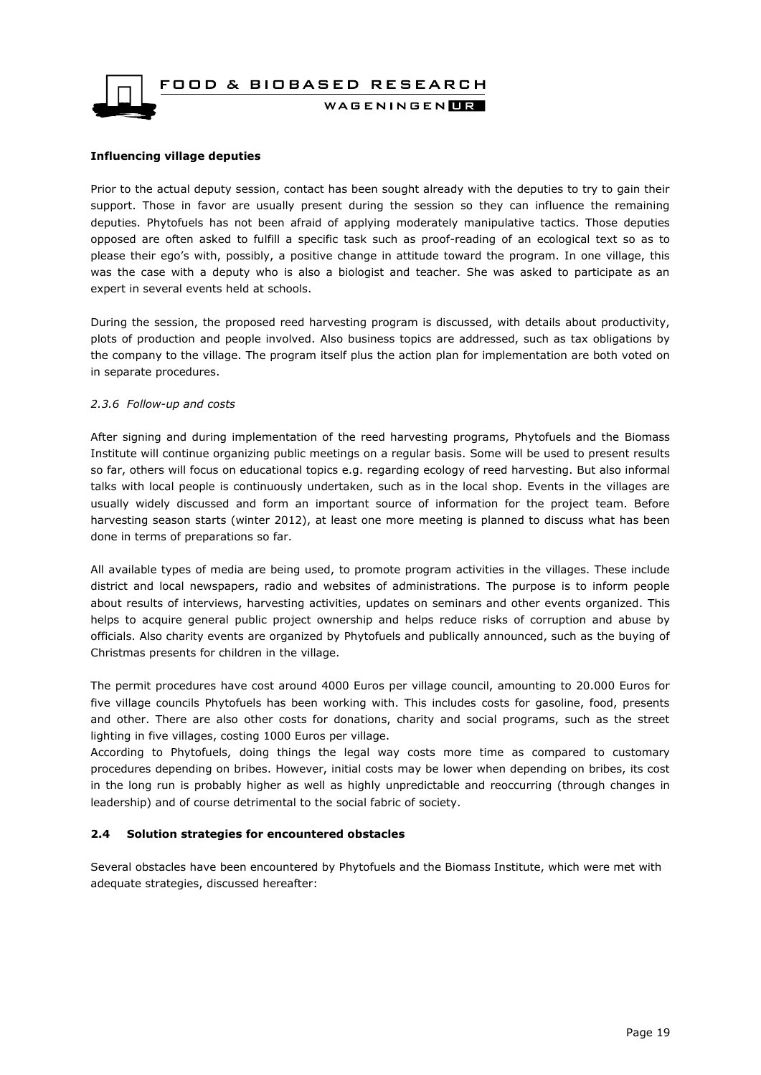FOOD & BIOBASED RESEARCH WAGENINGEN**LE** 

#### **Influencing village deputies**

Prior to the actual deputy session, contact has been sought already with the deputies to try to gain their support. Those in favor are usually present during the session so they can influence the remaining deputies. Phytofuels has not been afraid of applying moderately manipulative tactics. Those deputies opposed are often asked to fulfill a specific task such as proof-reading of an ecological text so as to please their ego's with, possibly, a positive change in attitude toward the program. In one village, this was the case with a deputy who is also a biologist and teacher. She was asked to participate as an expert in several events held at schools.

During the session, the proposed reed harvesting program is discussed, with details about productivity, plots of production and people involved. Also business topics are addressed, such as tax obligations by the company to the village. The program itself plus the action plan for implementation are both voted on in separate procedures.

#### <span id="page-18-0"></span>*2.3.6 Follow-up and costs*

After signing and during implementation of the reed harvesting programs, Phytofuels and the Biomass Institute will continue organizing public meetings on a regular basis. Some will be used to present results so far, others will focus on educational topics e.g. regarding ecology of reed harvesting. But also informal talks with local people is continuously undertaken, such as in the local shop. Events in the villages are usually widely discussed and form an important source of information for the project team. Before harvesting season starts (winter 2012), at least one more meeting is planned to discuss what has been done in terms of preparations so far.

All available types of media are being used, to promote program activities in the villages. These include district and local newspapers, radio and websites of administrations. The purpose is to inform people about results of interviews, harvesting activities, updates on seminars and other events organized. This helps to acquire general public project ownership and helps reduce risks of corruption and abuse by officials. Also charity events are organized by Phytofuels and publically announced, such as the buying of Christmas presents for children in the village.

The permit procedures have cost around 4000 Euros per village council, amounting to 20.000 Euros for five village councils Phytofuels has been working with. This includes costs for gasoline, food, presents and other. There are also other costs for donations, charity and social programs, such as the street lighting in five villages, costing 1000 Euros per village.

According to Phytofuels, doing things the legal way costs more time as compared to customary procedures depending on bribes. However, initial costs may be lower when depending on bribes, its cost in the long run is probably higher as well as highly unpredictable and reoccurring (through changes in leadership) and of course detrimental to the social fabric of society.

#### <span id="page-18-1"></span>**2.4 Solution strategies for encountered obstacles**

Several obstacles have been encountered by Phytofuels and the Biomass Institute, which were met with adequate strategies, discussed hereafter: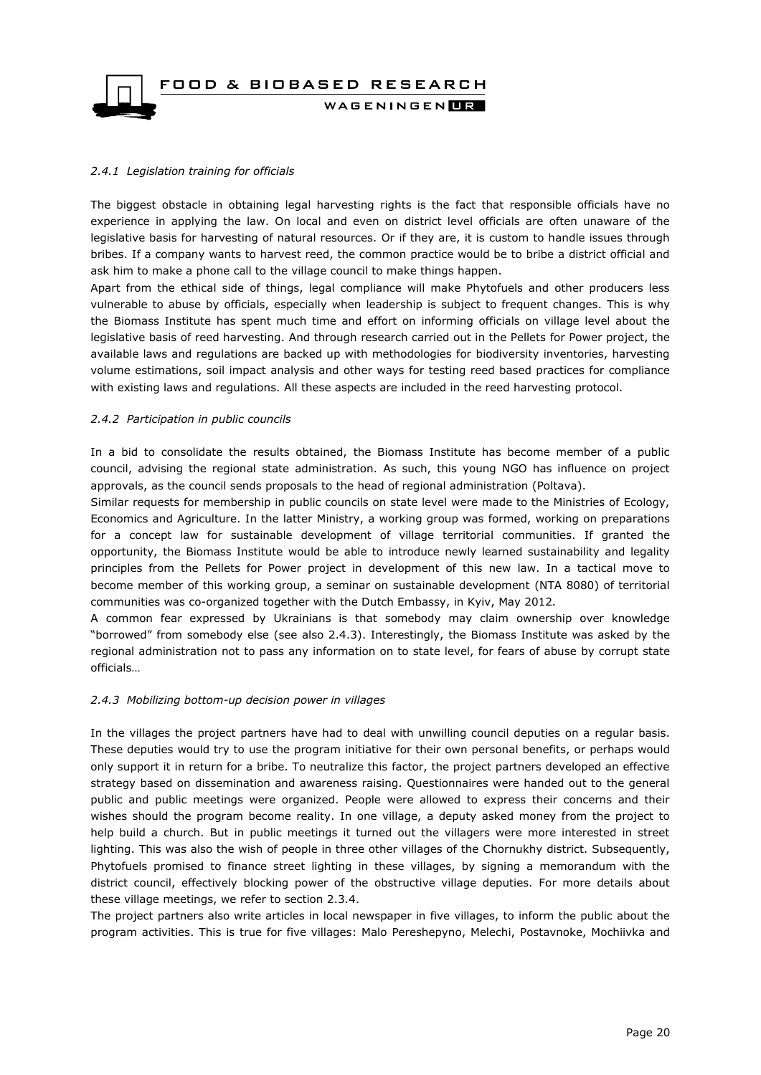

#### <span id="page-19-0"></span>*2.4.1 Legislation training for officials*

The biggest obstacle in obtaining legal harvesting rights is the fact that responsible officials have no experience in applying the law. On local and even on district level officials are often unaware of the legislative basis for harvesting of natural resources. Or if they are, it is custom to handle issues through bribes. If a company wants to harvest reed, the common practice would be to bribe a district official and ask him to make a phone call to the village council to make things happen.

Apart from the ethical side of things, legal compliance will make Phytofuels and other producers less vulnerable to abuse by officials, especially when leadership is subject to frequent changes. This is why the Biomass Institute has spent much time and effort on informing officials on village level about the legislative basis of reed harvesting. And through research carried out in the Pellets for Power project, the available laws and regulations are backed up with methodologies for biodiversity inventories, harvesting volume estimations, soil impact analysis and other ways for testing reed based practices for compliance with existing laws and regulations. All these aspects are included in the reed harvesting protocol.

#### <span id="page-19-1"></span>*2.4.2 Participation in public councils*

In a bid to consolidate the results obtained, the Biomass Institute has become member of a public council, advising the regional state administration. As such, this young NGO has influence on project approvals, as the council sends proposals to the head of regional administration (Poltava).

Similar requests for membership in public councils on state level were made to the Ministries of Ecology, Economics and Agriculture. In the latter Ministry, a working group was formed, working on preparations for a concept law for sustainable development of village territorial communities. If granted the opportunity, the Biomass Institute would be able to introduce newly learned sustainability and legality principles from the Pellets for Power project in development of this new law. In a tactical move to become member of this working group, a seminar on sustainable development (NTA 8080) of territorial communities was co-organized together with the Dutch Embassy, in Kyiv, May 2012.

A common fear expressed by Ukrainians is that somebody may claim ownership over knowledge "borrowed" from somebody else (see also 2.4.3). Interestingly, the Biomass Institute was asked by the regional administration not to pass any information on to state level, for fears of abuse by corrupt state officials…

#### <span id="page-19-2"></span>*2.4.3 Mobilizing bottom-up decision power in villages*

In the villages the project partners have had to deal with unwilling council deputies on a regular basis. These deputies would try to use the program initiative for their own personal benefits, or perhaps would only support it in return for a bribe. To neutralize this factor, the project partners developed an effective strategy based on dissemination and awareness raising. Questionnaires were handed out to the general public and public meetings were organized. People were allowed to express their concerns and their wishes should the program become reality. In one village, a deputy asked money from the project to help build a church. But in public meetings it turned out the villagers were more interested in street lighting. This was also the wish of people in three other villages of the Chornukhy district. Subsequently, Phytofuels promised to finance street lighting in these villages, by signing a memorandum with the district council, effectively blocking power of the obstructive village deputies. For more details about these village meetings, we refer to section 2.3.4.

The project partners also write articles in local newspaper in five villages, to inform the public about the program activities. This is true for five villages: Malo Pereshepyno, Melechi, Postavnoke, Mochiivka and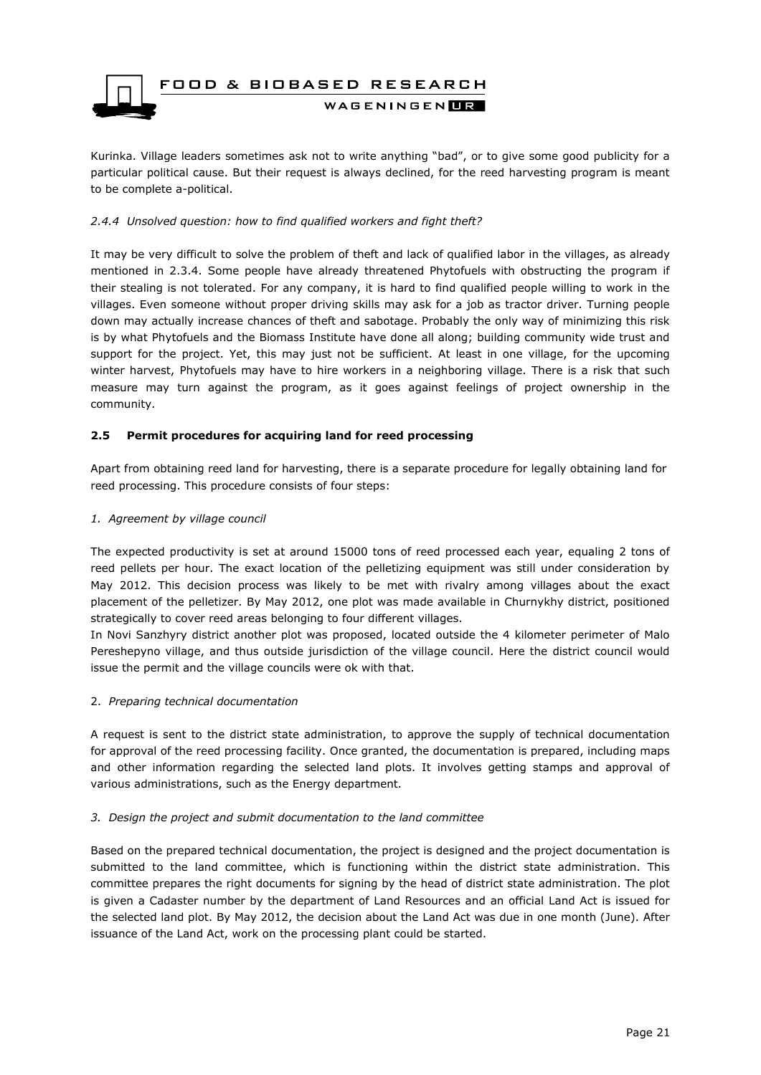

Kurinka. Village leaders sometimes ask not to write anything "bad", or to give some good publicity for a particular political cause. But their request is always declined, for the reed harvesting program is meant to be complete a-political.

#### <span id="page-20-0"></span>*2.4.4 Unsolved question: how to find qualified workers and fight theft?*

It may be very difficult to solve the problem of theft and lack of qualified labor in the villages, as already mentioned in 2.3.4. Some people have already threatened Phytofuels with obstructing the program if their stealing is not tolerated. For any company, it is hard to find qualified people willing to work in the villages. Even someone without proper driving skills may ask for a job as tractor driver. Turning people down may actually increase chances of theft and sabotage. Probably the only way of minimizing this risk is by what Phytofuels and the Biomass Institute have done all along; building community wide trust and support for the project. Yet, this may just not be sufficient. At least in one village, for the upcoming winter harvest, Phytofuels may have to hire workers in a neighboring village. There is a risk that such measure may turn against the program, as it goes against feelings of project ownership in the community.

#### <span id="page-20-1"></span>**2.5 Permit procedures for acquiring land for reed processing**

Apart from obtaining reed land for harvesting, there is a separate procedure for legally obtaining land for reed processing. This procedure consists of four steps:

#### *1. Agreement by village council*

The expected productivity is set at around 15000 tons of reed processed each year, equaling 2 tons of reed pellets per hour. The exact location of the pelletizing equipment was still under consideration by May 2012. This decision process was likely to be met with rivalry among villages about the exact placement of the pelletizer. By May 2012, one plot was made available in Churnykhy district, positioned strategically to cover reed areas belonging to four different villages.

In Novi Sanzhyry district another plot was proposed, located outside the 4 kilometer perimeter of Malo Pereshepyno village, and thus outside jurisdiction of the village council. Here the district council would issue the permit and the village councils were ok with that.

#### 2. *Preparing technical documentation*

A request is sent to the district state administration, to approve the supply of technical documentation for approval of the reed processing facility. Once granted, the documentation is prepared, including maps and other information regarding the selected land plots. It involves getting stamps and approval of various administrations, such as the Energy department.

#### *3. Design the project and submit documentation to the land committee*

Based on the prepared technical documentation, the project is designed and the project documentation is submitted to the land committee, which is functioning within the district state administration. This committee prepares the right documents for signing by the head of district state administration. The plot is given a Cadaster number by the department of Land Resources and an official Land Act is issued for the selected land plot. By May 2012, the decision about the Land Act was due in one month (June). After issuance of the Land Act, work on the processing plant could be started.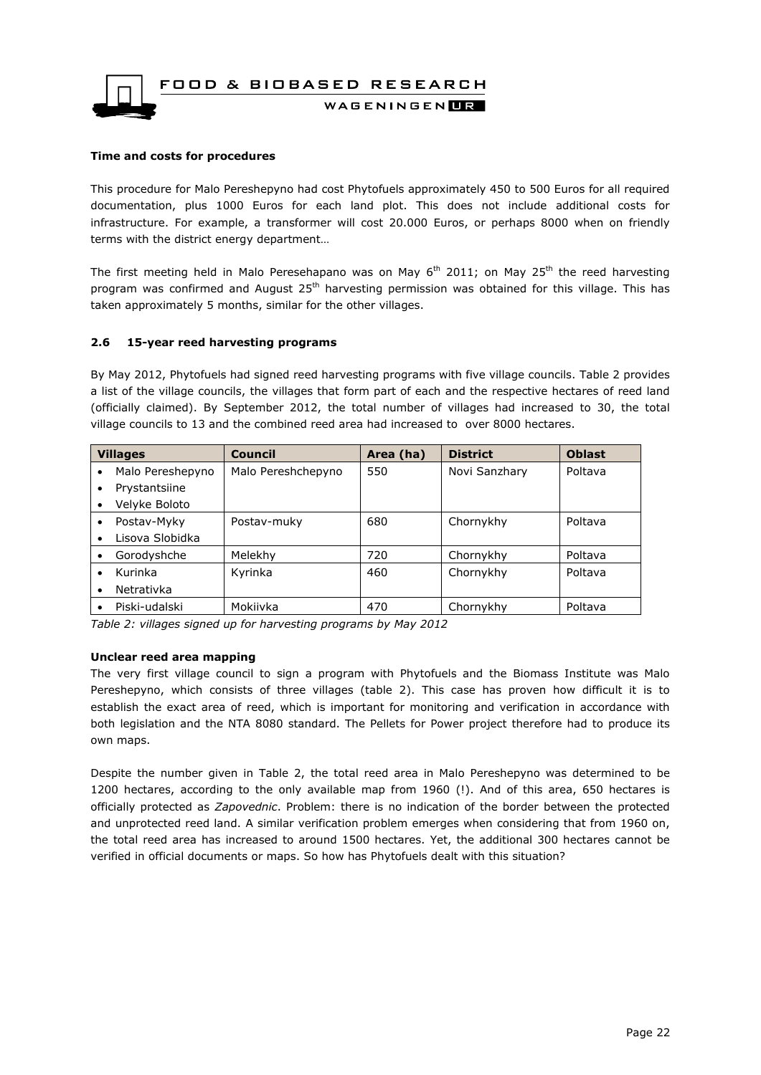& BIOBASED RESEARCH



WAGENINGENLIR

#### **Time and costs for procedures**

This procedure for Malo Pereshepyno had cost Phytofuels approximately 450 to 500 Euros for all required documentation, plus 1000 Euros for each land plot. This does not include additional costs for infrastructure. For example, a transformer will cost 20.000 Euros, or perhaps 8000 when on friendly terms with the district energy department…

The first meeting held in Malo Peresehapano was on May  $6<sup>th</sup>$  2011; on May 25<sup>th</sup> the reed harvesting program was confirmed and August 25<sup>th</sup> harvesting permission was obtained for this village. This has taken approximately 5 months, similar for the other villages.

#### <span id="page-21-0"></span>**2.6 15-year reed harvesting programs**

By May 2012, Phytofuels had signed reed harvesting programs with five village councils. Table 2 provides a list of the village councils, the villages that form part of each and the respective hectares of reed land (officially claimed). By September 2012, the total number of villages had increased to 30, the total village councils to 13 and the combined reed area had increased to over 8000 hectares.

| <b>Villages</b> |                  | <b>Council</b>     | Area (ha) | <b>District</b> | <b>Oblast</b> |
|-----------------|------------------|--------------------|-----------|-----------------|---------------|
| $\bullet$       | Malo Pereshepyno | Malo Pereshchepyno | 550       | Novi Sanzhary   | Poltava       |
| ٠               | Prystantsiine    |                    |           |                 |               |
|                 | Velyke Boloto    |                    |           |                 |               |
| $\bullet$       | Postav-Myky      | Postav-muky        | 680       | Chornykhy       | Poltava       |
| $\bullet$       | Lisova Slobidka  |                    |           |                 |               |
| $\bullet$       | Gorodyshche      | Melekhy            | 720       | Chornykhy       | Poltava       |
| $\bullet$       | Kurinka          | Kyrinka            | 460       | Chornykhy       | Poltava       |
| $\bullet$       | Netrativka       |                    |           |                 |               |
|                 | Piski-udalski    | Mokiivka           | 470       | Chornykhy       | Poltava       |

*Table 2: villages signed up for harvesting programs by May 2012*

#### **Unclear reed area mapping**

The very first village council to sign a program with Phytofuels and the Biomass Institute was Malo Pereshepyno, which consists of three villages (table 2). This case has proven how difficult it is to establish the exact area of reed, which is important for monitoring and verification in accordance with both legislation and the NTA 8080 standard. The Pellets for Power project therefore had to produce its own maps.

Despite the number given in Table 2, the total reed area in Malo Pereshepyno was determined to be 1200 hectares, according to the only available map from 1960 (!). And of this area, 650 hectares is officially protected as *Zapovednic*. Problem: there is no indication of the border between the protected and unprotected reed land. A similar verification problem emerges when considering that from 1960 on, the total reed area has increased to around 1500 hectares. Yet, the additional 300 hectares cannot be verified in official documents or maps. So how has Phytofuels dealt with this situation?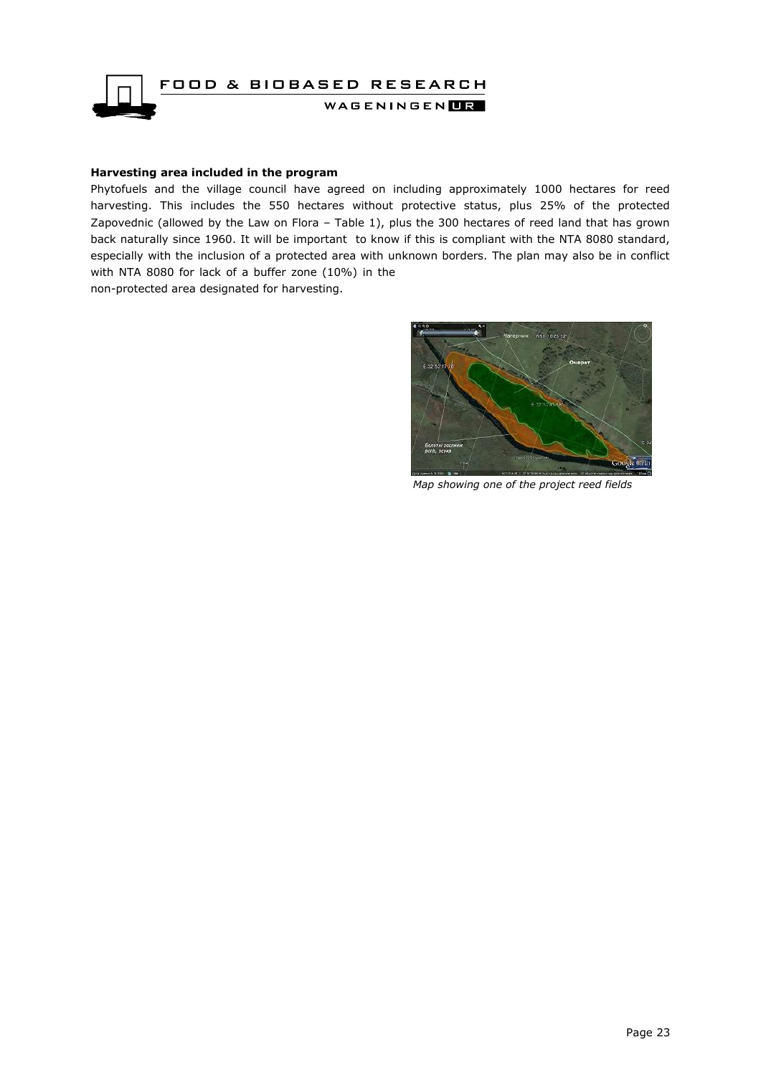

#### **Harvesting area included in the program**

Phytofuels and the village council have agreed on including approximately 1000 hectares for reed harvesting. This includes the 550 hectares without protective status, plus 25% of the protected Zapovednic (allowed by the Law on Flora – Table 1), plus the 300 hectares of reed land that has grown back naturally since 1960. It will be important to know if this is compliant with the NTA 8080 standard, especially with the inclusion of a protected area with unknown borders. The plan may also be in conflict with NTA 8080 for lack of a buffer zone (10%) in the non-protected area designated for harvesting.

interview

*Map showing one of the project reed fields*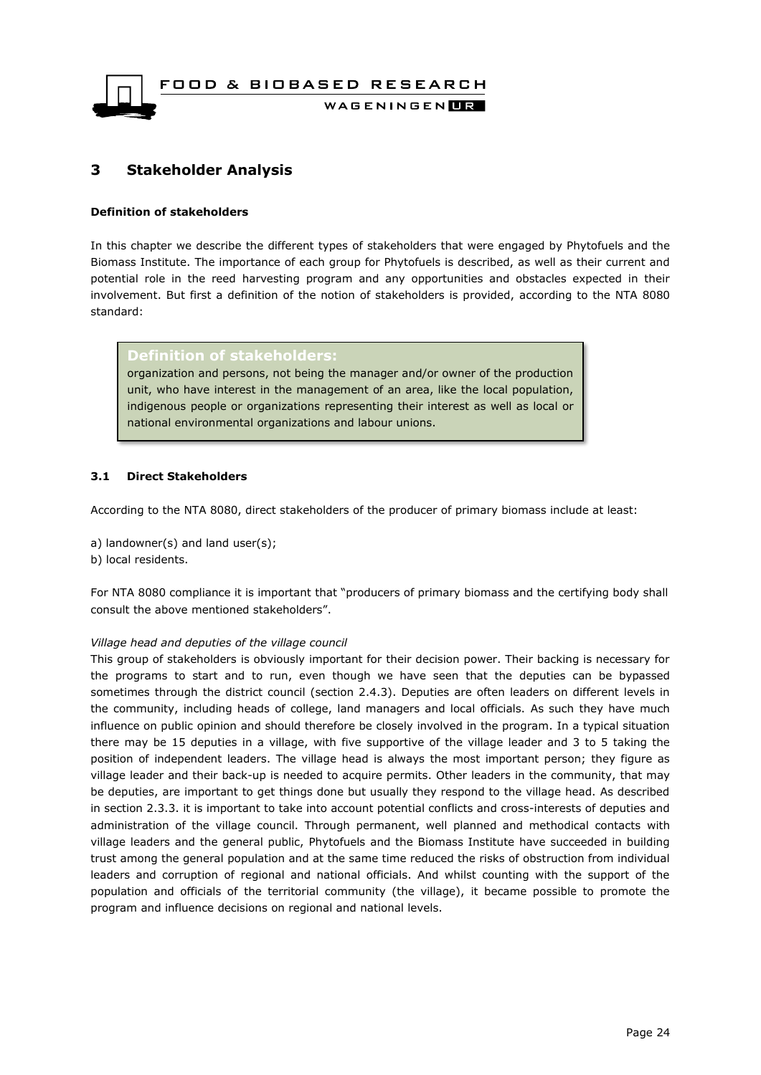

### <span id="page-23-0"></span>**3 Stakeholder Analysis**

#### **Definition of stakeholders**

In this chapter we describe the different types of stakeholders that were engaged by Phytofuels and the Biomass Institute. The importance of each group for Phytofuels is described, as well as their current and potential role in the reed harvesting program and any opportunities and obstacles expected in their involvement. But first a definition of the notion of stakeholders is provided, according to the NTA 8080 standard:

**Definition of stakeholders:**

organization and persons, not being the manager and/or owner of the production unit, who have interest in the management of an area, like the local population, indigenous people or organizations representing their interest as well as local or national environmental organizations and labour unions.

#### <span id="page-23-1"></span>**3.1 Direct Stakeholders**

According to the NTA 8080, direct stakeholders of the producer of primary biomass include at least:

- a) landowner(s) and land user(s);
- b) local residents.

For NTA 8080 compliance it is important that "producers of primary biomass and the certifying body shall consult the above mentioned stakeholders".

#### *Village head and deputies of the village council*

This group of stakeholders is obviously important for their decision power. Their backing is necessary for the programs to start and to run, even though we have seen that the deputies can be bypassed sometimes through the district council (section 2.4.3). Deputies are often leaders on different levels in the community, including heads of college, land managers and local officials. As such they have much influence on public opinion and should therefore be closely involved in the program. In a typical situation there may be 15 deputies in a village, with five supportive of the village leader and 3 to 5 taking the position of independent leaders. The village head is always the most important person; they figure as village leader and their back-up is needed to acquire permits. Other leaders in the community, that may be deputies, are important to get things done but usually they respond to the village head. As described in section 2.3.3. it is important to take into account potential conflicts and cross-interests of deputies and administration of the village council. Through permanent, well planned and methodical contacts with village leaders and the general public, Phytofuels and the Biomass Institute have succeeded in building trust among the general population and at the same time reduced the risks of obstruction from individual leaders and corruption of regional and national officials. And whilst counting with the support of the population and officials of the territorial community (the village), it became possible to promote the program and influence decisions on regional and national levels.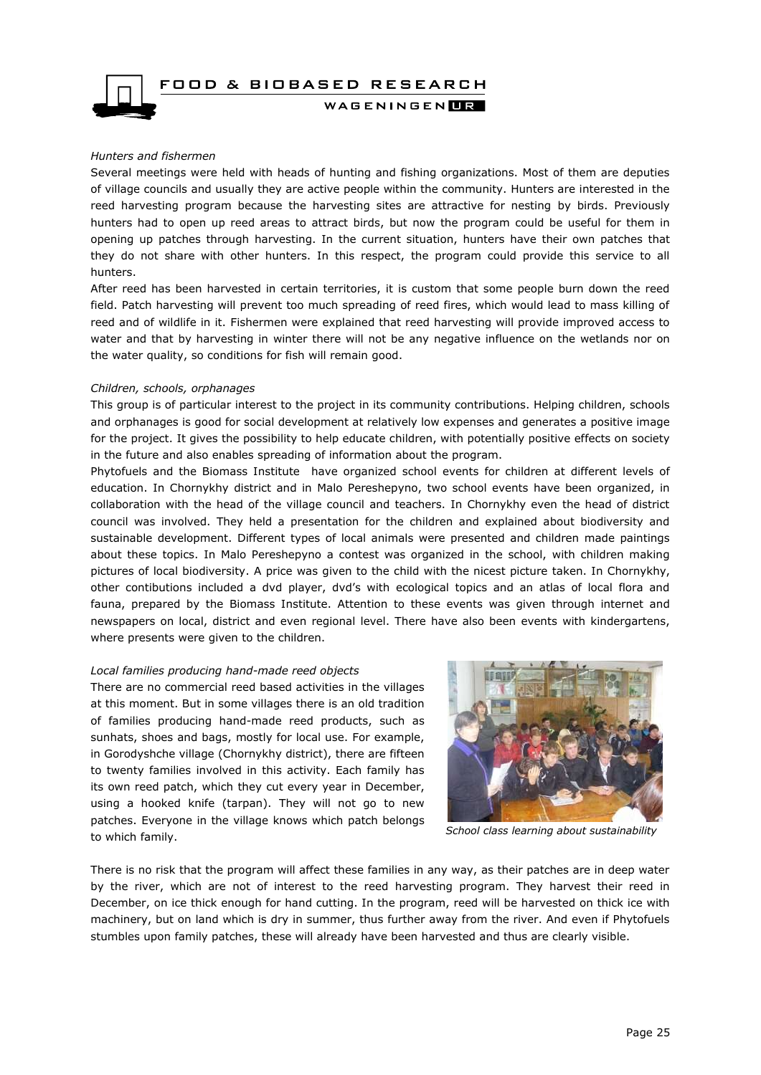FOOD & BIOBASED RESEARCH



WAGENINGEN**LE** 

#### *Hunters and fishermen*

Several meetings were held with heads of hunting and fishing organizations. Most of them are deputies of village councils and usually they are active people within the community. Hunters are interested in the reed harvesting program because the harvesting sites are attractive for nesting by birds. Previously hunters had to open up reed areas to attract birds, but now the program could be useful for them in opening up patches through harvesting. In the current situation, hunters have their own patches that they do not share with other hunters. In this respect, the program could provide this service to all hunters.

After reed has been harvested in certain territories, it is custom that some people burn down the reed field. Patch harvesting will prevent too much spreading of reed fires, which would lead to mass killing of reed and of wildlife in it. Fishermen were explained that reed harvesting will provide improved access to water and that by harvesting in winter there will not be any negative influence on the wetlands nor on the water quality, so conditions for fish will remain good.

#### *Children, schools, orphanages*

This group is of particular interest to the project in its community contributions. Helping children, schools and orphanages is good for social development at relatively low expenses and generates a positive image for the project. It gives the possibility to help educate children, with potentially positive effects on society in the future and also enables spreading of information about the program.

Phytofuels and the Biomass Institute have organized school events for children at different levels of education. In Chornykhy district and in Malo Pereshepyno, two school events have been organized, in collaboration with the head of the village council and teachers. In Chornykhy even the head of district council was involved. They held a presentation for the children and explained about biodiversity and sustainable development. Different types of local animals were presented and children made paintings about these topics. In Malo Pereshepyno a contest was organized in the school, with children making pictures of local biodiversity. A price was given to the child with the nicest picture taken. In Chornykhy, other contibutions included a dvd player, dvd's with ecological topics and an atlas of local flora and fauna, prepared by the Biomass Institute. Attention to these events was given through internet and newspapers on local, district and even regional level. There have also been events with kindergartens, where presents were given to the children.

#### *Local families producing hand-made reed objects*

There are no commercial reed based activities in the villages at this moment. But in some villages there is an old tradition of families producing hand-made reed products, such as sunhats, shoes and bags, mostly for local use. For example, in Gorodyshche village (Chornykhy district), there are fifteen to twenty families involved in this activity. Each family has its own reed patch, which they cut every year in December, using a hooked knife (tarpan). They will not go to new patches. Everyone in the village knows which patch belongs to which family.



*School class learning about sustainability* 

There is no risk that the program will affect these families in any way, as their patches are in deep water by the river, which are not of interest to the reed harvesting program. They harvest their reed in December, on ice thick enough for hand cutting. In the program, reed will be harvested on thick ice with machinery, but on land which is dry in summer, thus further away from the river. And even if Phytofuels stumbles upon family patches, these will already have been harvested and thus are clearly visible.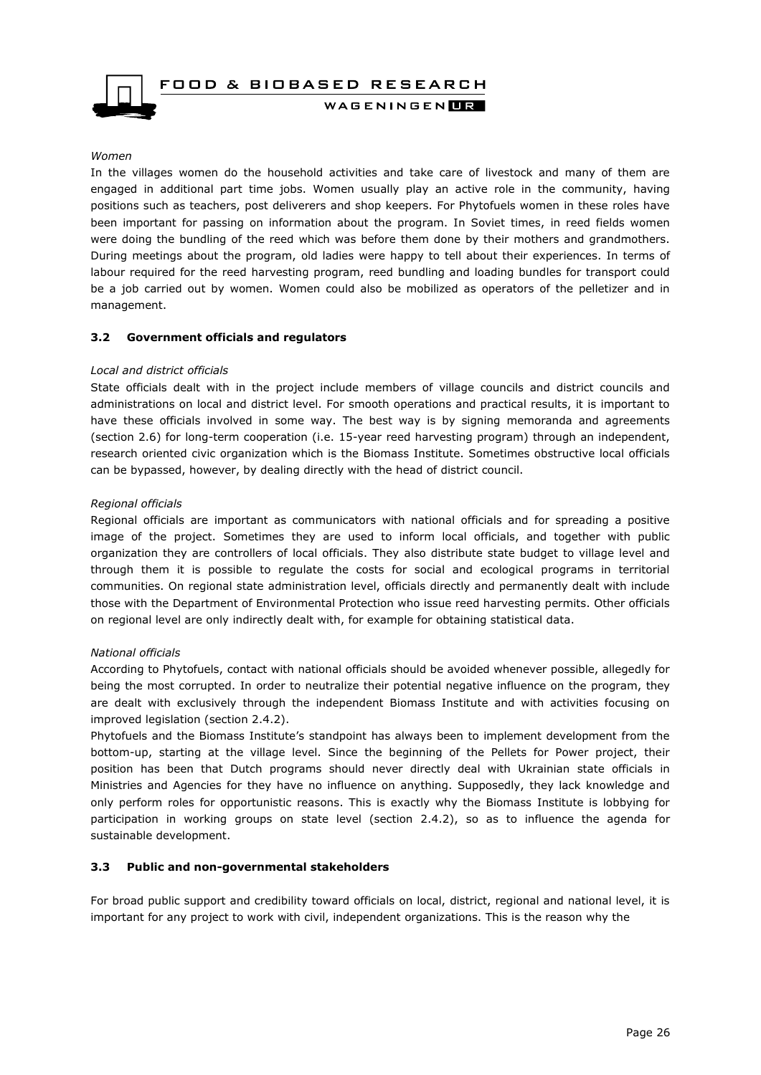

#### *Women*

In the villages women do the household activities and take care of livestock and many of them are engaged in additional part time jobs. Women usually play an active role in the community, having positions such as teachers, post deliverers and shop keepers. For Phytofuels women in these roles have been important for passing on information about the program. In Soviet times, in reed fields women were doing the bundling of the reed which was before them done by their mothers and grandmothers. During meetings about the program, old ladies were happy to tell about their experiences. In terms of labour required for the reed harvesting program, reed bundling and loading bundles for transport could be a job carried out by women. Women could also be mobilized as operators of the pelletizer and in management.

#### <span id="page-25-0"></span>**3.2 Government officials and regulators**

#### *Local and district officials*

State officials dealt with in the project include members of village councils and district councils and administrations on local and district level. For smooth operations and practical results, it is important to have these officials involved in some way. The best way is by signing memoranda and agreements (section 2.6) for long-term cooperation (i.e. 15-year reed harvesting program) through an independent, research oriented civic organization which is the Biomass Institute. Sometimes obstructive local officials can be bypassed, however, by dealing directly with the head of district council.

#### *Regional officials*

Regional officials are important as communicators with national officials and for spreading a positive image of the project. Sometimes they are used to inform local officials, and together with public organization they are controllers of local officials. They also distribute state budget to village level and through them it is possible to regulate the costs for social and ecological programs in territorial communities. On regional state administration level, officials directly and permanently dealt with include those with the Department of Environmental Protection who issue reed harvesting permits. Other officials on regional level are only indirectly dealt with, for example for obtaining statistical data.

#### *National officials*

According to Phytofuels, contact with national officials should be avoided whenever possible, allegedly for being the most corrupted. In order to neutralize their potential negative influence on the program, they are dealt with exclusively through the independent Biomass Institute and with activities focusing on improved legislation (section 2.4.2).

Phytofuels and the Biomass Institute's standpoint has always been to implement development from the bottom-up, starting at the village level. Since the beginning of the Pellets for Power project, their position has been that Dutch programs should never directly deal with Ukrainian state officials in Ministries and Agencies for they have no influence on anything. Supposedly, they lack knowledge and only perform roles for opportunistic reasons. This is exactly why the Biomass Institute is lobbying for participation in working groups on state level (section 2.4.2), so as to influence the agenda for sustainable development.

#### <span id="page-25-1"></span>**3.3 Public and non-governmental stakeholders**

For broad public support and credibility toward officials on local, district, regional and national level, it is important for any project to work with civil, independent organizations. This is the reason why the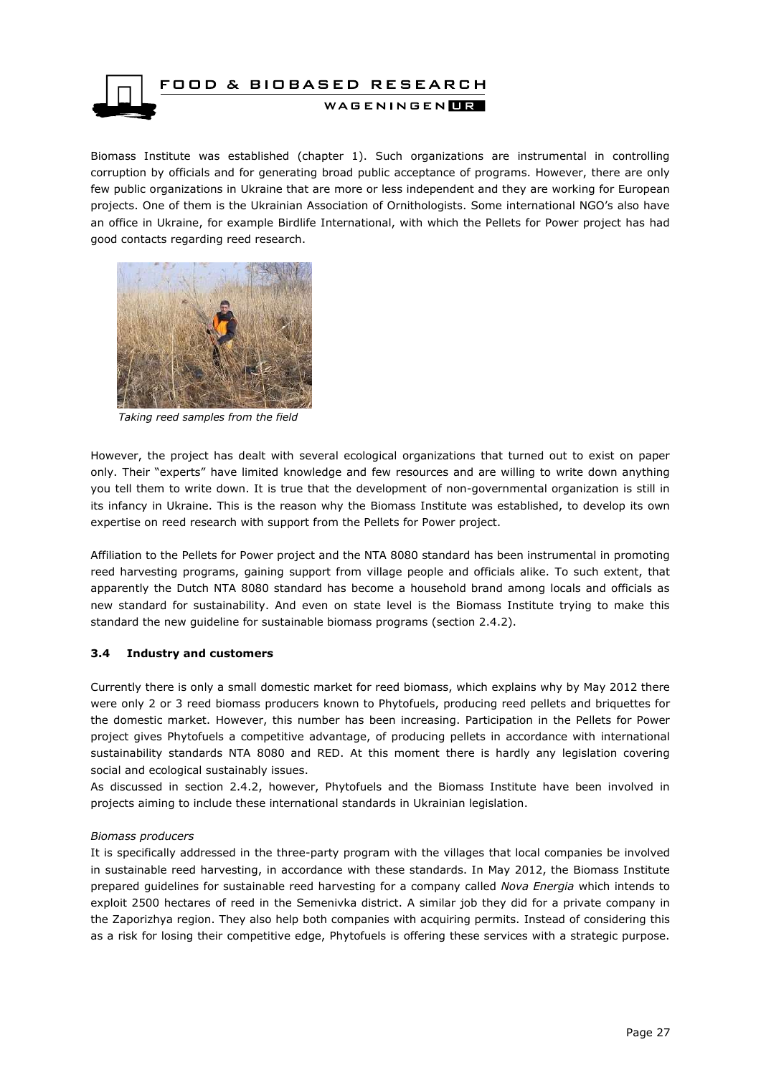

Biomass Institute was established (chapter 1). Such organizations are instrumental in controlling corruption by officials and for generating broad public acceptance of programs. However, there are only few public organizations in Ukraine that are more or less independent and they are working for European projects. One of them is the Ukrainian Association of Ornithologists. Some international NGO's also have an office in Ukraine, for example Birdlife International, with which the Pellets for Power project has had good contacts regarding reed research.



*Taking reed samples from the field*

However, the project has dealt with several ecological organizations that turned out to exist on paper only. Their "experts" have limited knowledge and few resources and are willing to write down anything you tell them to write down. It is true that the development of non-governmental organization is still in its infancy in Ukraine. This is the reason why the Biomass Institute was established, to develop its own expertise on reed research with support from the Pellets for Power project.

Affiliation to the Pellets for Power project and the NTA 8080 standard has been instrumental in promoting reed harvesting programs, gaining support from village people and officials alike. To such extent, that apparently the Dutch NTA 8080 standard has become a household brand among locals and officials as new standard for sustainability. And even on state level is the Biomass Institute trying to make this standard the new guideline for sustainable biomass programs (section 2.4.2).

#### <span id="page-26-0"></span>**3.4 Industry and customers**

Currently there is only a small domestic market for reed biomass, which explains why by May 2012 there were only 2 or 3 reed biomass producers known to Phytofuels, producing reed pellets and briquettes for the domestic market. However, this number has been increasing. Participation in the Pellets for Power project gives Phytofuels a competitive advantage, of producing pellets in accordance with international sustainability standards NTA 8080 and RED. At this moment there is hardly any legislation covering social and ecological sustainably issues.

As discussed in section 2.4.2, however, Phytofuels and the Biomass Institute have been involved in projects aiming to include these international standards in Ukrainian legislation.

#### *Biomass producers*

It is specifically addressed in the three-party program with the villages that local companies be involved in sustainable reed harvesting, in accordance with these standards. In May 2012, the Biomass Institute prepared guidelines for sustainable reed harvesting for a company called *Nova Energia* which intends to exploit 2500 hectares of reed in the Semenivka district. A similar job they did for a private company in the Zaporizhya region. They also help both companies with acquiring permits. Instead of considering this as a risk for losing their competitive edge, Phytofuels is offering these services with a strategic purpose.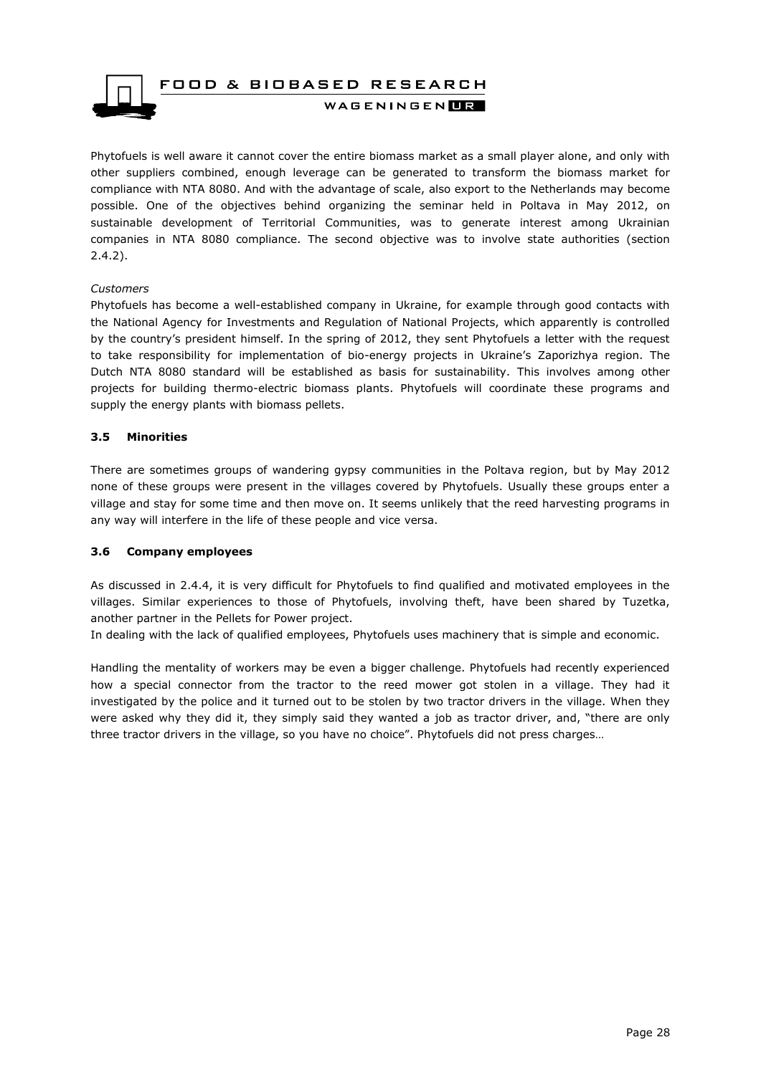

Phytofuels is well aware it cannot cover the entire biomass market as a small player alone, and only with other suppliers combined, enough leverage can be generated to transform the biomass market for compliance with NTA 8080. And with the advantage of scale, also export to the Netherlands may become possible. One of the objectives behind organizing the seminar held in Poltava in May 2012, on sustainable development of Territorial Communities, was to generate interest among Ukrainian companies in NTA 8080 compliance. The second objective was to involve state authorities (section 2.4.2).

#### *Customers*

Phytofuels has become a well-established company in Ukraine, for example through good contacts with the National Agency for Investments and Regulation of National Projects, which apparently is controlled by the country's president himself. In the spring of 2012, they sent Phytofuels a letter with the request to take responsibility for implementation of bio-energy projects in Ukraine's Zaporizhya region. The Dutch NTA 8080 standard will be established as basis for sustainability. This involves among other projects for building thermo-electric biomass plants. Phytofuels will coordinate these programs and supply the energy plants with biomass pellets.

#### <span id="page-27-0"></span>**3.5 Minorities**

There are sometimes groups of wandering gypsy communities in the Poltava region, but by May 2012 none of these groups were present in the villages covered by Phytofuels. Usually these groups enter a village and stay for some time and then move on. It seems unlikely that the reed harvesting programs in any way will interfere in the life of these people and vice versa.

#### <span id="page-27-1"></span>**3.6 Company employees**

As discussed in 2.4.4, it is very difficult for Phytofuels to find qualified and motivated employees in the villages. Similar experiences to those of Phytofuels, involving theft, have been shared by Tuzetka, another partner in the Pellets for Power project.

In dealing with the lack of qualified employees, Phytofuels uses machinery that is simple and economic.

Handling the mentality of workers may be even a bigger challenge. Phytofuels had recently experienced how a special connector from the tractor to the reed mower got stolen in a village. They had it investigated by the police and it turned out to be stolen by two tractor drivers in the village. When they were asked why they did it, they simply said they wanted a job as tractor driver, and, "there are only three tractor drivers in the village, so you have no choice". Phytofuels did not press charges…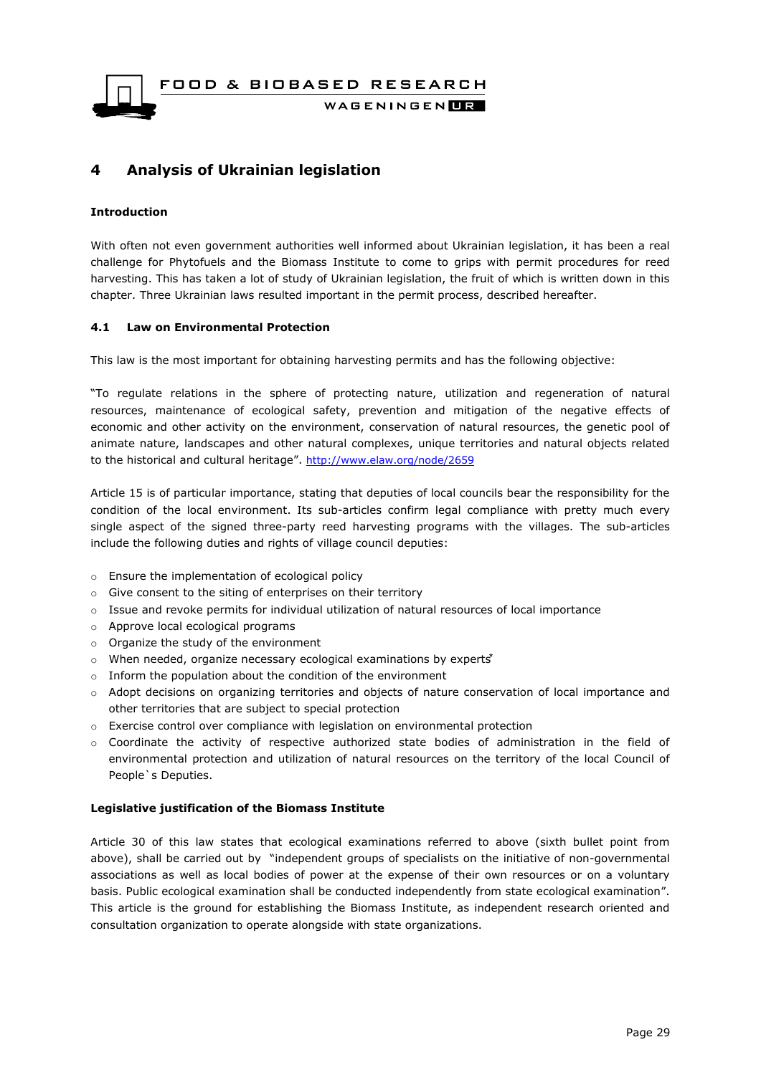FOOD & BIOBASED RESEARCH WAGENINGENLIR

### <span id="page-28-0"></span>**4 Analysis of Ukrainian legislation**

#### **Introduction**

With often not even government authorities well informed about Ukrainian legislation, it has been a real challenge for Phytofuels and the Biomass Institute to come to grips with permit procedures for reed harvesting. This has taken a lot of study of Ukrainian legislation, the fruit of which is written down in this chapter. Three Ukrainian laws resulted important in the permit process, described hereafter.

#### <span id="page-28-1"></span>**4.1 Law on Environmental Protection**

This law is the most important for obtaining harvesting permits and has the following objective:

"To regulate relations in the sphere of protecting nature, utilization and regeneration of natural resources, maintenance of ecological safety, prevention and mitigation of the negative effects of economic and other activity on the environment, conservation of natural resources, the genetic pool of animate nature, landscapes and other natural complexes, unique territories and natural objects related to the historical and cultural heritage". <http://www.elaw.org/node/2659>

Article 15 is of particular importance, stating that deputies of local councils bear the responsibility for the condition of the local environment. Its sub-articles confirm legal compliance with pretty much every single aspect of the signed three-party reed harvesting programs with the villages. The sub-articles include the following duties and rights of village council deputies:

- o Ensure the implementation of ecological policy
- o Give consent to the siting of enterprises on their territory
- $\circ$  Issue and revoke permits for individual utilization of natural resources of local importance
- o Approve local ecological programs
- o Organize the study of the environment
- $\circ$  When needed, organize necessary ecological examinations by experts<sup>\*</sup>
- o Inform the population about the condition of the environment
- o Adopt decisions on organizing territories and objects of nature conservation of local importance and other territories that are subject to special protection
- o Exercise control over compliance with legislation on environmental protection
- o Coordinate the activity of respective authorized state bodies of administration in the field of environmental protection and utilization of natural resources on the territory of the local Council of People`s Deputies.

#### **Legislative justification of the Biomass Institute**

Article 30 of this law states that ecological examinations referred to above (sixth bullet point from above), shall be carried out by "independent groups of specialists on the initiative of non-governmental associations as well as local bodies of power at the expense of their own resources or on a voluntary basis. Public ecological examination shall be conducted independently from state ecological examination". This article is the ground for establishing the Biomass Institute, as independent research oriented and consultation organization to operate alongside with state organizations.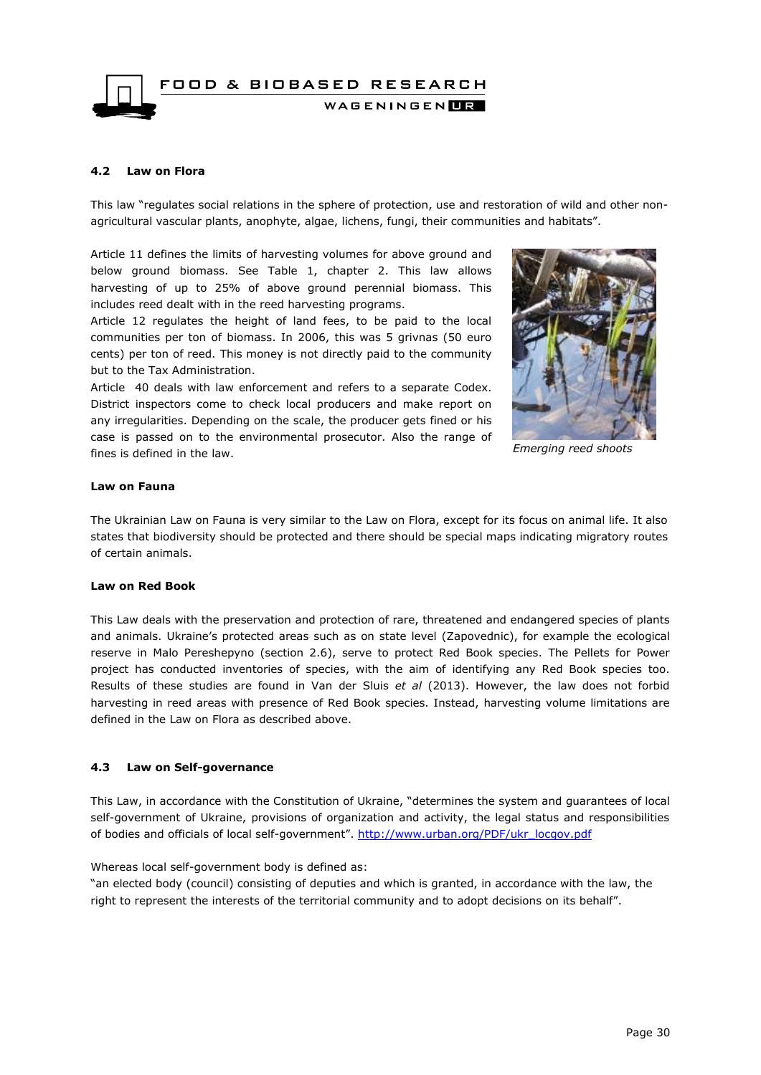FOOD & BIOBASED RESEARCH WAGENINGEN**LE** 

#### <span id="page-29-0"></span>**4.2 Law on Flora**

This law "regulates social relations in the sphere of protection, use and restoration of wild and other nonagricultural vascular plants, anophyte, algae, lichens, fungi, their communities and habitats".

Article 11 defines the limits of harvesting volumes for above ground and below ground biomass. See Table 1, chapter 2. This law allows harvesting of up to 25% of above ground perennial biomass. This includes reed dealt with in the reed harvesting programs.

Article 12 regulates the height of land fees, to be paid to the local communities per ton of biomass. In 2006, this was 5 grivnas (50 euro cents) per ton of reed. This money is not directly paid to the community but to the Tax Administration.

Article 40 deals with law enforcement and refers to a separate Codex. District inspectors come to check local producers and make report on any irregularities. Depending on the scale, the producer gets fined or his case is passed on to the environmental prosecutor. Also the range of fines is defined in the law.



*Emerging reed shoots*

#### **Law on Fauna**

The Ukrainian Law on Fauna is very similar to the Law on Flora, except for its focus on animal life. It also states that biodiversity should be protected and there should be special maps indicating migratory routes of certain animals.

#### **Law on Red Book**

This Law deals with the preservation and protection of rare, threatened and endangered species of plants and animals. Ukraine's protected areas such as on state level (Zapovednic), for example the ecological reserve in Malo Pereshepyno (section 2.6), serve to protect Red Book species. The Pellets for Power project has conducted inventories of species, with the aim of identifying any Red Book species too. Results of these studies are found in Van der Sluis *et al* (2013). However, the law does not forbid harvesting in reed areas with presence of Red Book species. Instead, harvesting volume limitations are defined in the Law on Flora as described above.

#### <span id="page-29-1"></span>**4.3 Law on Self-governance**

This Law, in accordance with the Constitution of Ukraine, "determines the system and guarantees of local self-government of Ukraine, provisions of organization and activity, the legal status and responsibilities of bodies and officials of local self-government". [http://www.urban.org/PDF/ukr\\_locgov.pdf](http://www.urban.org/PDF/ukr_locgov.pdf)

Whereas local self-government body is defined as:

"an elected body (council) consisting of deputies and which is granted, in accordance with the law, the right to represent the interests of the territorial community and to adopt decisions on its behalf".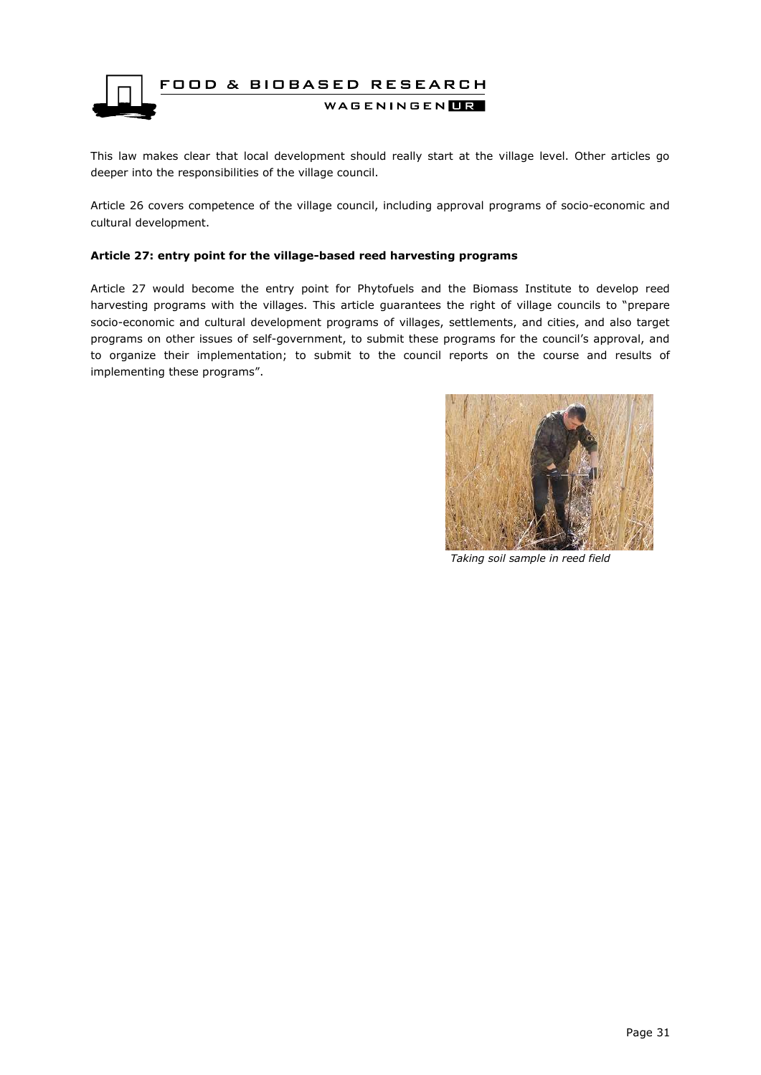

This law makes clear that local development should really start at the village level. Other articles go deeper into the responsibilities of the village council.

Article 26 covers competence of the village council, including approval programs of socio-economic and cultural development.

#### **Article 27: entry point for the village-based reed harvesting programs**

Article 27 would become the entry point for Phytofuels and the Biomass Institute to develop reed harvesting programs with the villages. This article guarantees the right of village councils to "prepare socio-economic and cultural development programs of villages, settlements, and cities, and also target programs on other issues of self-government, to submit these programs for the council's approval, and to organize their implementation; to submit to the council reports on the course and results of implementing these programs".



*Taking soil sample in reed field*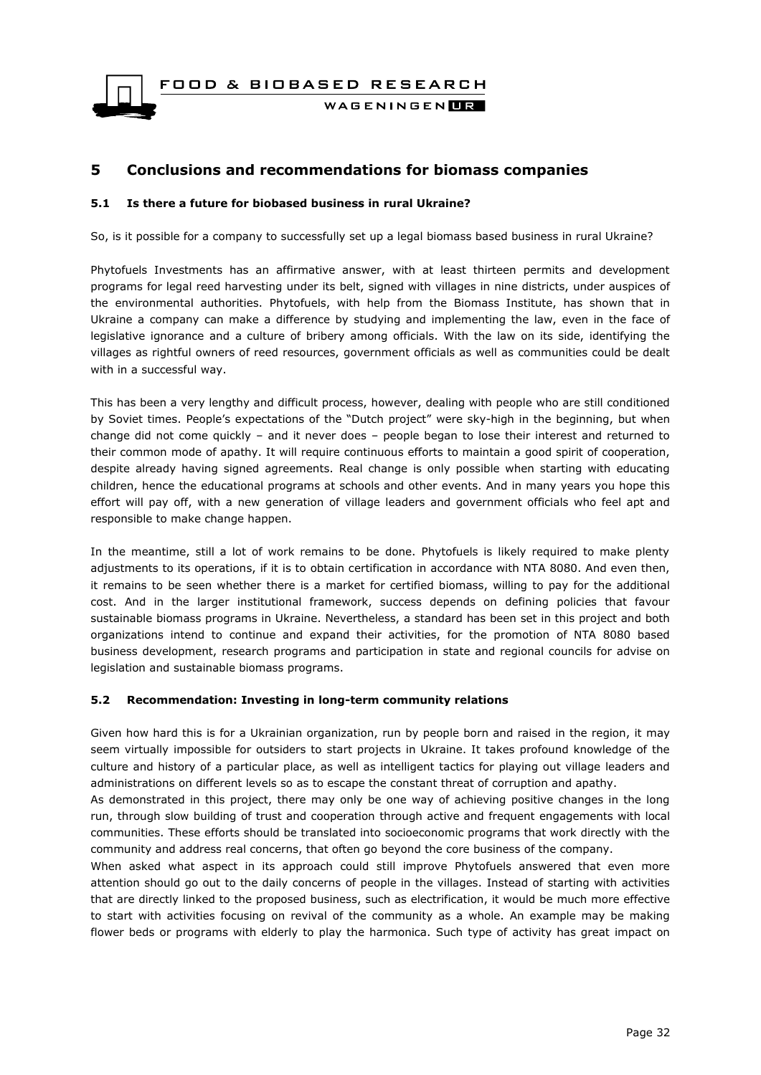FOOD & BIOBASED RESEARCH

WAGENINGEN**HR** 

### <span id="page-31-0"></span>**5 Conclusions and recommendations for biomass companies**

#### <span id="page-31-1"></span>**5.1 Is there a future for biobased business in rural Ukraine?**

So, is it possible for a company to successfully set up a legal biomass based business in rural Ukraine?

Phytofuels Investments has an affirmative answer, with at least thirteen permits and development programs for legal reed harvesting under its belt, signed with villages in nine districts, under auspices of the environmental authorities. Phytofuels, with help from the Biomass Institute, has shown that in Ukraine a company can make a difference by studying and implementing the law, even in the face of legislative ignorance and a culture of bribery among officials. With the law on its side, identifying the villages as rightful owners of reed resources, government officials as well as communities could be dealt with in a successful way.

This has been a very lengthy and difficult process, however, dealing with people who are still conditioned by Soviet times. People's expectations of the "Dutch project" were sky-high in the beginning, but when change did not come quickly – and it never does – people began to lose their interest and returned to their common mode of apathy. It will require continuous efforts to maintain a good spirit of cooperation, despite already having signed agreements. Real change is only possible when starting with educating children, hence the educational programs at schools and other events. And in many years you hope this effort will pay off, with a new generation of village leaders and government officials who feel apt and responsible to make change happen.

In the meantime, still a lot of work remains to be done. Phytofuels is likely required to make plenty adjustments to its operations, if it is to obtain certification in accordance with NTA 8080. And even then, it remains to be seen whether there is a market for certified biomass, willing to pay for the additional cost. And in the larger institutional framework, success depends on defining policies that favour sustainable biomass programs in Ukraine. Nevertheless, a standard has been set in this project and both organizations intend to continue and expand their activities, for the promotion of NTA 8080 based business development, research programs and participation in state and regional councils for advise on legislation and sustainable biomass programs.

#### <span id="page-31-2"></span>**5.2 Recommendation: Investing in long-term community relations**

Given how hard this is for a Ukrainian organization, run by people born and raised in the region, it may seem virtually impossible for outsiders to start projects in Ukraine. It takes profound knowledge of the culture and history of a particular place, as well as intelligent tactics for playing out village leaders and administrations on different levels so as to escape the constant threat of corruption and apathy.

As demonstrated in this project, there may only be one way of achieving positive changes in the long run, through slow building of trust and cooperation through active and frequent engagements with local communities. These efforts should be translated into socioeconomic programs that work directly with the community and address real concerns, that often go beyond the core business of the company.

When asked what aspect in its approach could still improve Phytofuels answered that even more attention should go out to the daily concerns of people in the villages. Instead of starting with activities that are directly linked to the proposed business, such as electrification, it would be much more effective to start with activities focusing on revival of the community as a whole. An example may be making flower beds or programs with elderly to play the harmonica. Such type of activity has great impact on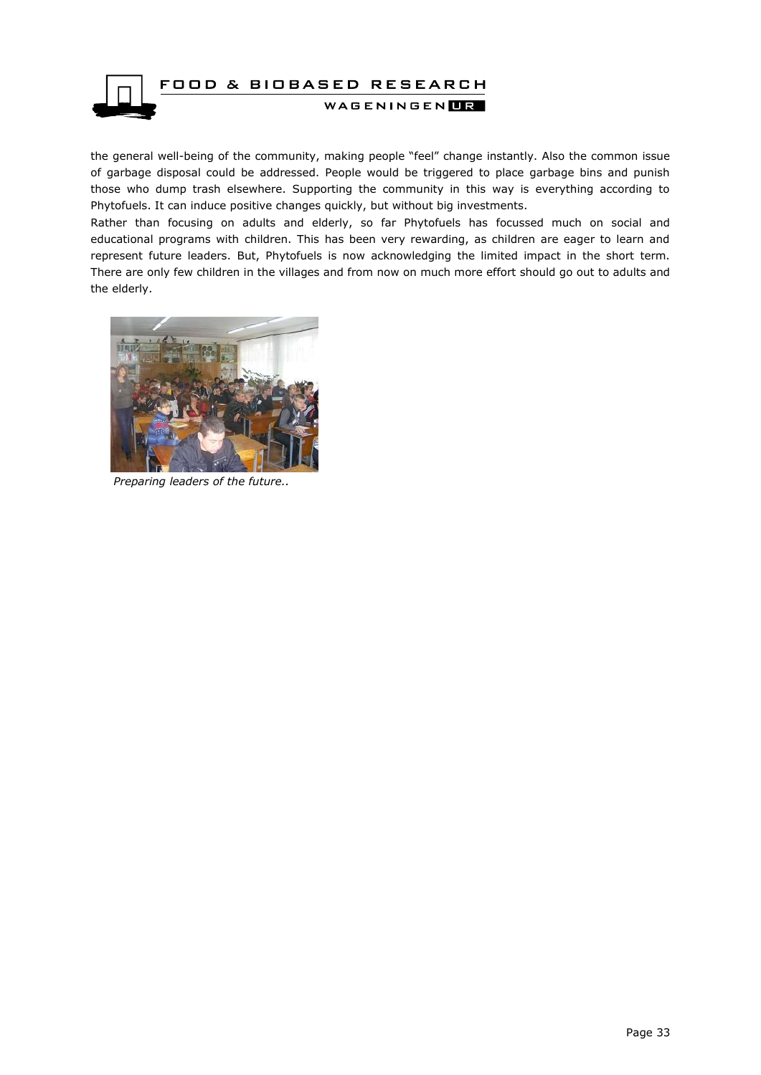

the general well-being of the community, making people "feel" change instantly. Also the common issue of garbage disposal could be addressed. People would be triggered to place garbage bins and punish those who dump trash elsewhere. Supporting the community in this way is everything according to Phytofuels. It can induce positive changes quickly, but without big investments.

Rather than focusing on adults and elderly, so far Phytofuels has focussed much on social and educational programs with children. This has been very rewarding, as children are eager to learn and represent future leaders. But, Phytofuels is now acknowledging the limited impact in the short term. There are only few children in the villages and from now on much more effort should go out to adults and the elderly.



 *Preparing leaders of the future..*